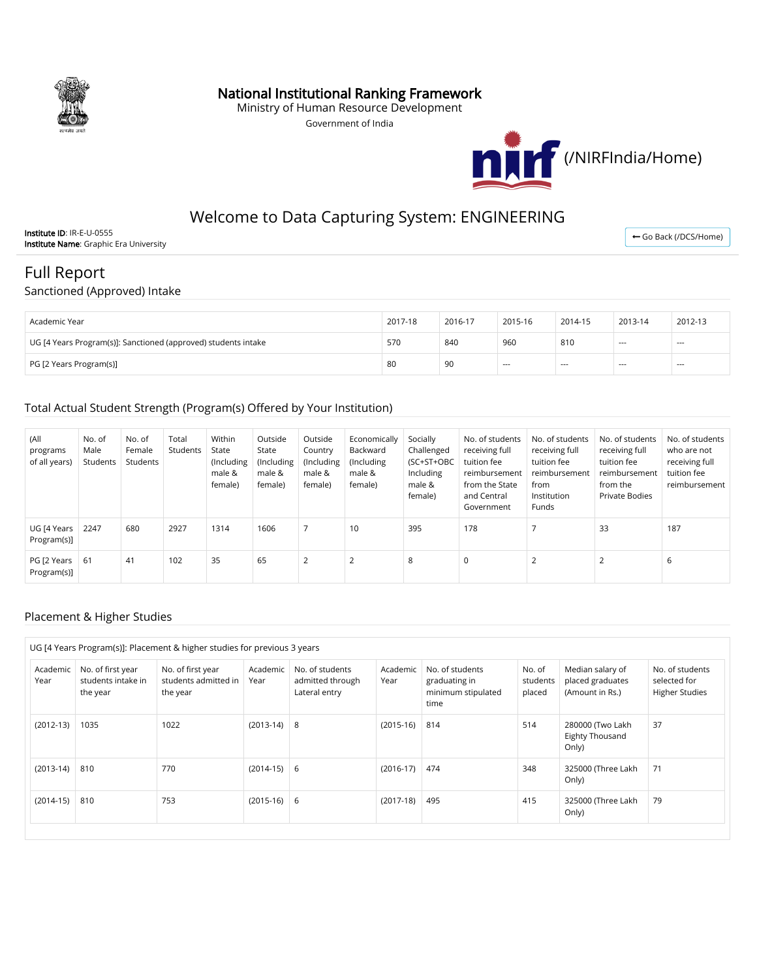

## National Institutional Ranking Framework

Ministry of Human Resource Development

Government of India



# Welcome to Data Capturing System: ENGINEERING

Institute ID: IR-E-U-0555 Institute Name: Graphic Era University

← [Go Back \(/DCS/Home\)](http://login.nirfindia.org/DCS/Home)

# Full Report

## Sanctioned (Approved) Intake

| Academic Year                                                  | 2017-18 | 2016-17 | 2015-16 | 2014-15 | 2013-14 | 2012-13 |
|----------------------------------------------------------------|---------|---------|---------|---------|---------|---------|
| UG [4 Years Program(s)]: Sanctioned (approved) students intake | 570     | 840     | 960     | 810     | $- - -$ | $- - -$ |
| PG [2 Years Program(s)]                                        | 80      | 90      | ---     | $- - -$ | $- - -$ | $- - -$ |

## Total Actual Student Strength (Program(s) Offered by Your Institution)

| (All<br>programs<br>of all years) | No. of<br>Male<br>Students | No. of<br>Female<br>Students | Total<br>Students | Within<br>State<br>(Including<br>male &<br>female) | Outside<br>State<br>(Including<br>male &<br>female) | Outside<br>Country<br>(Including<br>male &<br>female) | Economically<br>Backward<br>(Including<br>male &<br>female) | Socially<br>Challenged<br>(SC+ST+OBC<br>Including<br>male &<br>female) | No. of students<br>receiving full<br>tuition fee<br>reimbursement<br>from the State<br>and Central<br>Government | No. of students<br>receiving full<br>tuition fee<br>reimbursement<br>from<br>Institution<br>Funds | No. of students<br>receiving full<br>tuition fee<br>reimbursement<br>from the<br><b>Private Bodies</b> | No. of students<br>who are not<br>receiving full<br>tuition fee<br>reimbursement |
|-----------------------------------|----------------------------|------------------------------|-------------------|----------------------------------------------------|-----------------------------------------------------|-------------------------------------------------------|-------------------------------------------------------------|------------------------------------------------------------------------|------------------------------------------------------------------------------------------------------------------|---------------------------------------------------------------------------------------------------|--------------------------------------------------------------------------------------------------------|----------------------------------------------------------------------------------|
| UG [4 Years   2247<br>Program(s)] |                            | 680                          | 2927              | 1314                                               | 1606                                                |                                                       | 10                                                          | 395                                                                    | 178                                                                                                              |                                                                                                   | 33                                                                                                     | 187                                                                              |
| PG [2 Years<br>Program(s)]        | -61                        | 41                           | 102               | 35                                                 | 65                                                  |                                                       | $\overline{2}$                                              | 8                                                                      | 0                                                                                                                | 2                                                                                                 |                                                                                                        | ь                                                                                |

#### Placement & Higher Studies

| Academic<br>Year | No. of first year<br>students intake in<br>the year | No. of first year<br>students admitted in<br>the year | Academic<br>Year | No. of students<br>admitted through<br>Lateral entry | Academic<br>Year | No. of students<br>graduating in<br>minimum stipulated<br>time |     | Median salary of<br>placed graduates<br>(Amount in Rs.) | No. of students<br>selected for<br><b>Higher Studies</b> |
|------------------|-----------------------------------------------------|-------------------------------------------------------|------------------|------------------------------------------------------|------------------|----------------------------------------------------------------|-----|---------------------------------------------------------|----------------------------------------------------------|
| $(2012-13)$      | 1035                                                | 1022                                                  | $(2013-14)$ 8    |                                                      | $(2015-16)$      | 814                                                            | 514 | 280000 (Two Lakh<br>Eighty Thousand<br>Only)            | 37                                                       |
| $(2013-14)$      | 810                                                 | 770                                                   | $(2014-15)$ 6    |                                                      | $(2016-17)$      | 474                                                            | 348 | 325000 (Three Lakh<br>Only)                             | 71                                                       |
| $(2014-15)$      | 810                                                 | 753                                                   | $(2015-16)$ 6    |                                                      | $(2017-18)$      | 495                                                            | 415 | 325000 (Three Lakh<br>Only)                             | 79                                                       |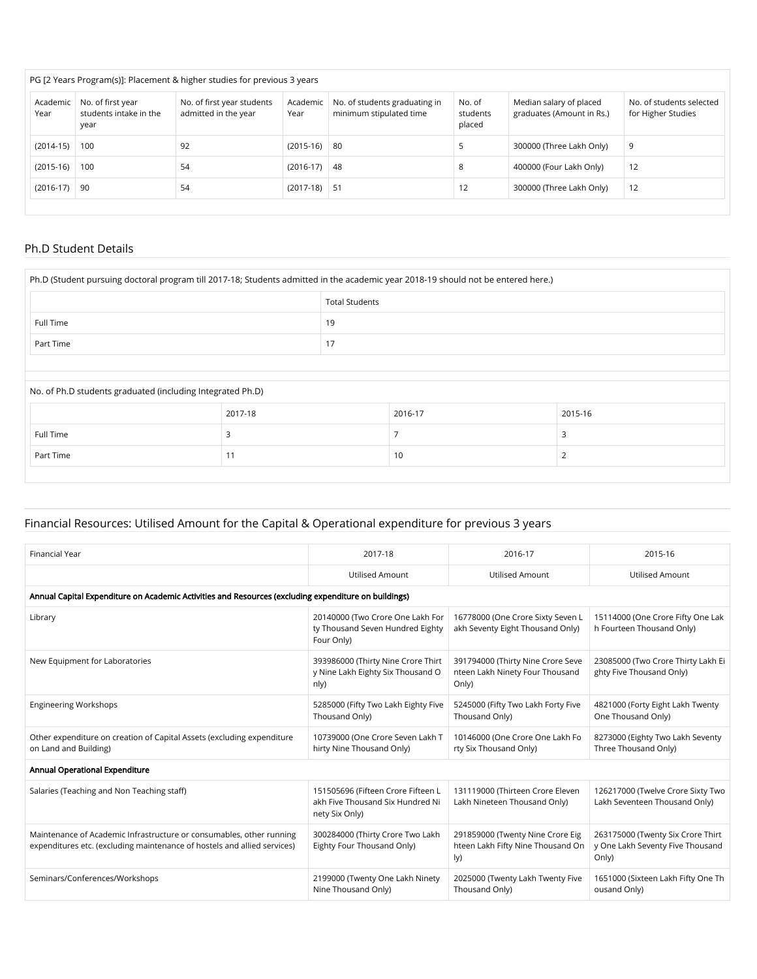|                  | PG [2 Years Program(s)]: Placement & higher studies for previous 3 years |                                                    |                  |                                                          |                              |                                                      |                                                |  |  |  |
|------------------|--------------------------------------------------------------------------|----------------------------------------------------|------------------|----------------------------------------------------------|------------------------------|------------------------------------------------------|------------------------------------------------|--|--|--|
| Academic<br>Year | No. of first year<br>students intake in the<br>year                      | No. of first year students<br>admitted in the year | Academic<br>Year | No. of students graduating in<br>minimum stipulated time | No. of<br>students<br>placed | Median salary of placed<br>graduates (Amount in Rs.) | No. of students selected<br>for Higher Studies |  |  |  |
| $(2014-15)$      | 100                                                                      | 92                                                 | $(2015-16)$      | 80                                                       |                              | 300000 (Three Lakh Only)                             | 9                                              |  |  |  |
| $(2015-16)$      | 100                                                                      | 54                                                 | $(2016-17)$      | -48                                                      | 8                            | 400000 (Four Lakh Only)                              | 12                                             |  |  |  |
| $(2016-17)$      | -90                                                                      | 54                                                 | $(2017-18)$ 51   |                                                          | 12                           | 300000 (Three Lakh Only)                             | 12                                             |  |  |  |
|                  |                                                                          |                                                    |                  |                                                          |                              |                                                      |                                                |  |  |  |

#### Ph.D Student Details

| Ph.D (Student pursuing doctoral program till 2017-18; Students admitted in the academic year 2018-19 should not be entered here.) |         |                       |         |         |  |  |  |  |
|-----------------------------------------------------------------------------------------------------------------------------------|---------|-----------------------|---------|---------|--|--|--|--|
|                                                                                                                                   |         | <b>Total Students</b> |         |         |  |  |  |  |
| Full Time                                                                                                                         | 19      |                       |         |         |  |  |  |  |
| Part Time                                                                                                                         |         | 17                    |         |         |  |  |  |  |
|                                                                                                                                   |         |                       |         |         |  |  |  |  |
| No. of Ph.D students graduated (including Integrated Ph.D)                                                                        |         |                       |         |         |  |  |  |  |
|                                                                                                                                   | 2017-18 |                       | 2016-17 | 2015-16 |  |  |  |  |
| Full Time                                                                                                                         | 3       |                       |         | 3       |  |  |  |  |
| Part Time                                                                                                                         | 11      |                       | 10      |         |  |  |  |  |

# Financial Resources: Utilised Amount for the Capital & Operational expenditure for previous 3 years

| <b>Financial Year</b>                                                                                                                            | 2017-18                                                                                  | 2016-17                                                                       | 2015-16                                                                        |
|--------------------------------------------------------------------------------------------------------------------------------------------------|------------------------------------------------------------------------------------------|-------------------------------------------------------------------------------|--------------------------------------------------------------------------------|
|                                                                                                                                                  | <b>Utilised Amount</b>                                                                   | <b>Utilised Amount</b>                                                        | <b>Utilised Amount</b>                                                         |
| Annual Capital Expenditure on Academic Activities and Resources (excluding expenditure on buildings)                                             |                                                                                          |                                                                               |                                                                                |
| Library                                                                                                                                          | 20140000 (Two Crore One Lakh For<br>ty Thousand Seven Hundred Eighty<br>Four Only)       | 16778000 (One Crore Sixty Seven L<br>akh Seventy Eight Thousand Only)         | 15114000 (One Crore Fifty One Lak<br>h Fourteen Thousand Only)                 |
| New Equipment for Laboratories                                                                                                                   | 393986000 (Thirty Nine Crore Thirt<br>y Nine Lakh Eighty Six Thousand O<br>nly)          | 391794000 (Thirty Nine Crore Seve<br>nteen Lakh Ninety Four Thousand<br>Only) | 23085000 (Two Crore Thirty Lakh Ei<br>ghty Five Thousand Only)                 |
| <b>Engineering Workshops</b>                                                                                                                     | 5285000 (Fifty Two Lakh Eighty Five<br>Thousand Only)                                    | 5245000 (Fifty Two Lakh Forty Five<br>Thousand Only)                          | 4821000 (Forty Eight Lakh Twenty<br>One Thousand Only)                         |
| Other expenditure on creation of Capital Assets (excluding expenditure<br>on Land and Building)                                                  | 10739000 (One Crore Seven Lakh T<br>hirty Nine Thousand Only)                            | 10146000 (One Crore One Lakh Fo<br>rty Six Thousand Only)                     | 8273000 (Eighty Two Lakh Seventy<br>Three Thousand Only)                       |
| Annual Operational Expenditure                                                                                                                   |                                                                                          |                                                                               |                                                                                |
| Salaries (Teaching and Non Teaching staff)                                                                                                       | 151505696 (Fifteen Crore Fifteen L<br>akh Five Thousand Six Hundred Ni<br>nety Six Only) | 131119000 (Thirteen Crore Eleven<br>Lakh Nineteen Thousand Only)              | 126217000 (Twelve Crore Sixty Two<br>Lakh Seventeen Thousand Only)             |
| Maintenance of Academic Infrastructure or consumables, other running<br>expenditures etc. (excluding maintenance of hostels and allied services) | 300284000 (Thirty Crore Two Lakh<br>Eighty Four Thousand Only)                           | 291859000 (Twenty Nine Crore Eig<br>hteen Lakh Fifty Nine Thousand On<br>ly)  | 263175000 (Twenty Six Crore Thirt<br>y One Lakh Seventy Five Thousand<br>Only) |
| Seminars/Conferences/Workshops                                                                                                                   | 2199000 (Twenty One Lakh Ninety<br>Nine Thousand Only)                                   | 2025000 (Twenty Lakh Twenty Five<br>Thousand Only)                            | 1651000 (Sixteen Lakh Fifty One Th<br>ousand Only)                             |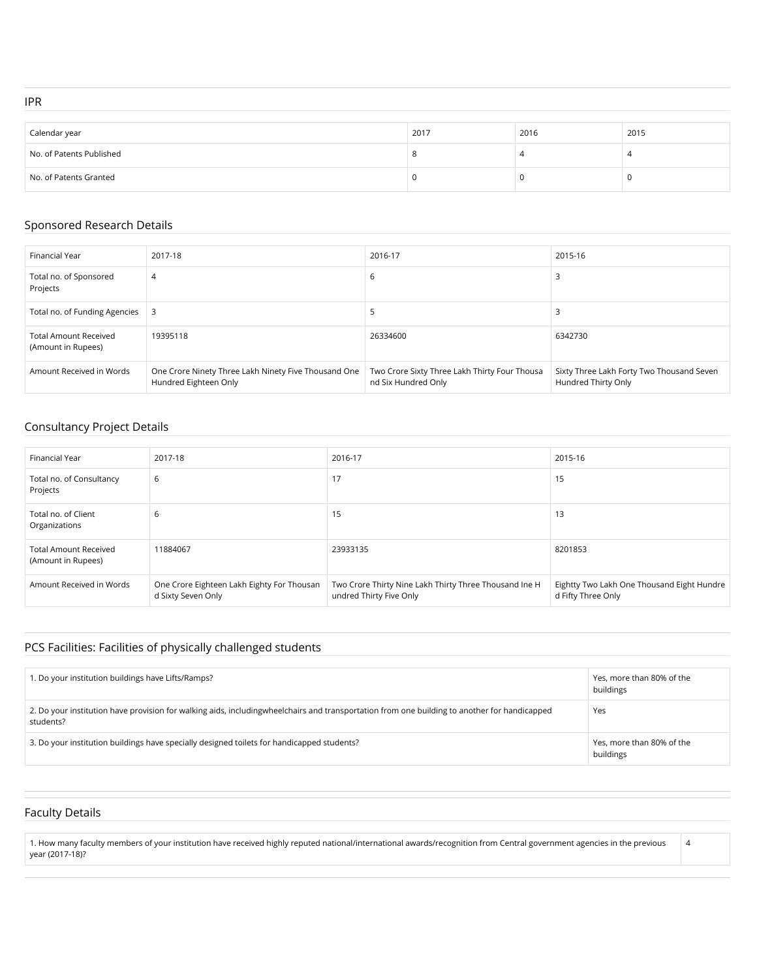IPR

| Calendar year            | 2017 | 2016 | 2015 |
|--------------------------|------|------|------|
| No. of Patents Published |      |      |      |
| No. of Patents Granted   |      |      | 0    |

#### Sponsored Research Details

| Financial Year                                     | 2017-18                                                                       | 2016-17                                                              | 2015-16                                                          |
|----------------------------------------------------|-------------------------------------------------------------------------------|----------------------------------------------------------------------|------------------------------------------------------------------|
| Total no. of Sponsored<br>Projects                 | 4                                                                             | b                                                                    |                                                                  |
| Total no. of Funding Agencies                      | 3                                                                             | 5                                                                    | З                                                                |
| <b>Total Amount Received</b><br>(Amount in Rupees) | 19395118                                                                      | 26334600                                                             | 6342730                                                          |
| Amount Received in Words                           | One Crore Ninety Three Lakh Ninety Five Thousand One<br>Hundred Eighteen Only | Two Crore Sixty Three Lakh Thirty Four Thousa<br>nd Six Hundred Only | Sixty Three Lakh Forty Two Thousand Seven<br>Hundred Thirty Only |

### Consultancy Project Details

| Financial Year                                     | 2017-18                                                          | 2016-17                                                                           | 2015-16                                                          |
|----------------------------------------------------|------------------------------------------------------------------|-----------------------------------------------------------------------------------|------------------------------------------------------------------|
| Total no. of Consultancy<br>Projects               | 6                                                                | 17                                                                                | 15                                                               |
| Total no. of Client<br>Organizations               | 6                                                                | 15                                                                                | 13                                                               |
| <b>Total Amount Received</b><br>(Amount in Rupees) | 11884067                                                         | 23933135                                                                          | 8201853                                                          |
| Amount Received in Words                           | One Crore Eighteen Lakh Eighty For Thousan<br>d Sixty Seven Only | Two Crore Thirty Nine Lakh Thirty Three Thousand Ine H<br>undred Thirty Five Only | Eightty Two Lakh One Thousand Eight Hundre<br>d Fifty Three Only |

## PCS Facilities: Facilities of physically challenged students

| 1. Do your institution buildings have Lifts/Ramps?                                                                                                        | Yes, more than 80% of the<br>buildings |
|-----------------------------------------------------------------------------------------------------------------------------------------------------------|----------------------------------------|
| 2. Do your institution have provision for walking aids, includingwheelchairs and transportation from one building to another for handicapped<br>students? | Yes                                    |
| 3. Do your institution buildings have specially designed toilets for handicapped students?                                                                | Yes, more than 80% of the<br>buildings |

4

## Faculty Details

1. How many faculty members of your institution have received highly reputed national/international awards/recognition from Central government agencies in the previous year (2017-18)?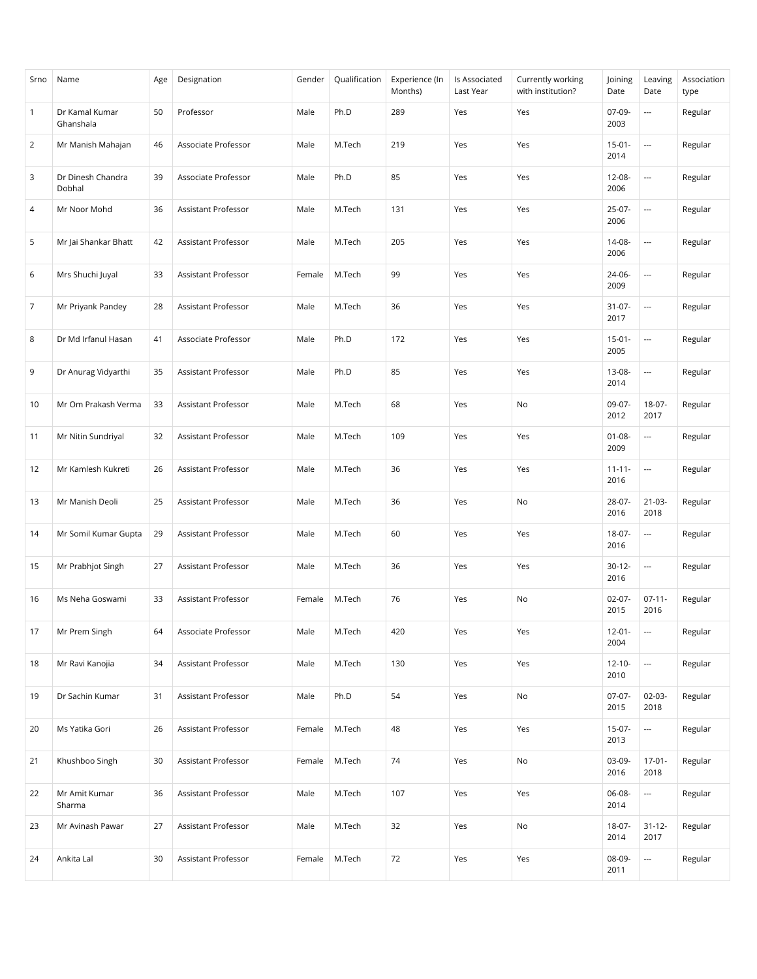| Srno           | Name                        | Age | Designation                | Gender | Qualification | Experience (In<br>Months) | Is Associated<br>Last Year | Currently working<br>with institution? | Joining<br>Date     | Leaving<br>Date          | Association<br>type |
|----------------|-----------------------------|-----|----------------------------|--------|---------------|---------------------------|----------------------------|----------------------------------------|---------------------|--------------------------|---------------------|
| $\mathbf{1}$   | Dr Kamal Kumar<br>Ghanshala | 50  | Professor                  | Male   | Ph.D          | 289                       | Yes                        | Yes                                    | 07-09-<br>2003      | ---                      | Regular             |
| $\overline{2}$ | Mr Manish Mahajan           | 46  | Associate Professor        | Male   | M.Tech        | 219                       | Yes                        | Yes                                    | $15 - 01 -$<br>2014 | $\hspace{0.05cm} \ldots$ | Regular             |
| 3              | Dr Dinesh Chandra<br>Dobhal | 39  | Associate Professor        | Male   | Ph.D          | 85                        | Yes                        | Yes                                    | 12-08-<br>2006      | $\overline{\phantom{a}}$ | Regular             |
| 4              | Mr Noor Mohd                | 36  | Assistant Professor        | Male   | M.Tech        | 131                       | Yes                        | Yes                                    | $25-07-$<br>2006    | ---                      | Regular             |
| 5              | Mr Jai Shankar Bhatt        | 42  | <b>Assistant Professor</b> | Male   | M.Tech        | 205                       | Yes                        | Yes                                    | 14-08-<br>2006      | $\overline{\phantom{a}}$ | Regular             |
| 6              | Mrs Shuchi Juyal            | 33  | Assistant Professor        | Female | M.Tech        | 99                        | Yes                        | Yes                                    | 24-06-<br>2009      | $\overline{\phantom{a}}$ | Regular             |
| $\overline{7}$ | Mr Priyank Pandey           | 28  | Assistant Professor        | Male   | M.Tech        | 36                        | Yes                        | Yes                                    | $31 - 07 -$<br>2017 | $\hspace{0.05cm} \ldots$ | Regular             |
| 8              | Dr Md Irfanul Hasan         | 41  | Associate Professor        | Male   | Ph.D          | 172                       | Yes                        | Yes                                    | $15-01-$<br>2005    | $\overline{\phantom{a}}$ | Regular             |
| 9              | Dr Anurag Vidyarthi         | 35  | Assistant Professor        | Male   | Ph.D          | 85                        | Yes                        | Yes                                    | 13-08-<br>2014      | $\overline{\phantom{a}}$ | Regular             |
| 10             | Mr Om Prakash Verma         | 33  | Assistant Professor        | Male   | M.Tech        | 68                        | Yes                        | No                                     | 09-07-<br>2012      | 18-07-<br>2017           | Regular             |
| 11             | Mr Nitin Sundriyal          | 32  | Assistant Professor        | Male   | M.Tech        | 109                       | Yes                        | Yes                                    | $01 - 08 -$<br>2009 | $\overline{\phantom{a}}$ | Regular             |
| 12             | Mr Kamlesh Kukreti          | 26  | Assistant Professor        | Male   | M.Tech        | 36                        | Yes                        | Yes                                    | $11 - 11 -$<br>2016 | $\overline{\phantom{a}}$ | Regular             |
| 13             | Mr Manish Deoli             | 25  | Assistant Professor        | Male   | M.Tech        | 36                        | Yes                        | No                                     | 28-07-<br>2016      | $21 - 03 -$<br>2018      | Regular             |
| 14             | Mr Somil Kumar Gupta        | 29  | Assistant Professor        | Male   | M.Tech        | 60                        | Yes                        | Yes                                    | 18-07-<br>2016      | $\overline{\phantom{a}}$ | Regular             |
| 15             | Mr Prabhjot Singh           | 27  | Assistant Professor        | Male   | M.Tech        | 36                        | Yes                        | Yes                                    | $30-12-$<br>2016    | $\hspace{0.05cm} \ldots$ | Regular             |
| 16             | Ms Neha Goswami             | 33  | Assistant Professor        | Female | M.Tech        | 76                        | Yes                        | No                                     | $02-07-$<br>2015    | $07 - 11 -$<br>2016      | Regular             |
| 17             | Mr Prem Singh               | 64  | Associate Professor        | Male   | M.Tech        | 420                       | Yes                        | Yes                                    | $12 - 01 -$<br>2004 | $\hspace{0.05cm} \ldots$ | Regular             |
| 18             | Mr Ravi Kanojia             | 34  | Assistant Professor        | Male   | M.Tech        | 130                       | Yes                        | Yes                                    | $12 - 10 -$<br>2010 | ---                      | Regular             |
| 19             | Dr Sachin Kumar             | 31  | Assistant Professor        | Male   | Ph.D          | 54                        | Yes                        | No                                     | $07-07-$<br>2015    | $02-03-$<br>2018         | Regular             |
| 20             | Ms Yatika Gori              | 26  | <b>Assistant Professor</b> | Female | M.Tech        | 48                        | Yes                        | Yes                                    | 15-07-<br>2013      | $\overline{\phantom{a}}$ | Regular             |
| 21             | Khushboo Singh              | 30  | Assistant Professor        | Female | M.Tech        | 74                        | Yes                        | No                                     | 03-09-<br>2016      | $17 - 01 -$<br>2018      | Regular             |
| 22             | Mr Amit Kumar<br>Sharma     | 36  | Assistant Professor        | Male   | M.Tech        | 107                       | Yes                        | Yes                                    | 06-08-<br>2014      | $\overline{\phantom{a}}$ | Regular             |
| 23             | Mr Avinash Pawar            | 27  | Assistant Professor        | Male   | M.Tech        | 32                        | Yes                        | No                                     | 18-07-<br>2014      | $31 - 12 -$<br>2017      | Regular             |
| 24             | Ankita Lal                  | 30  | Assistant Professor        | Female | M.Tech        | 72                        | Yes                        | Yes                                    | 08-09-<br>2011      | $\overline{\phantom{a}}$ | Regular             |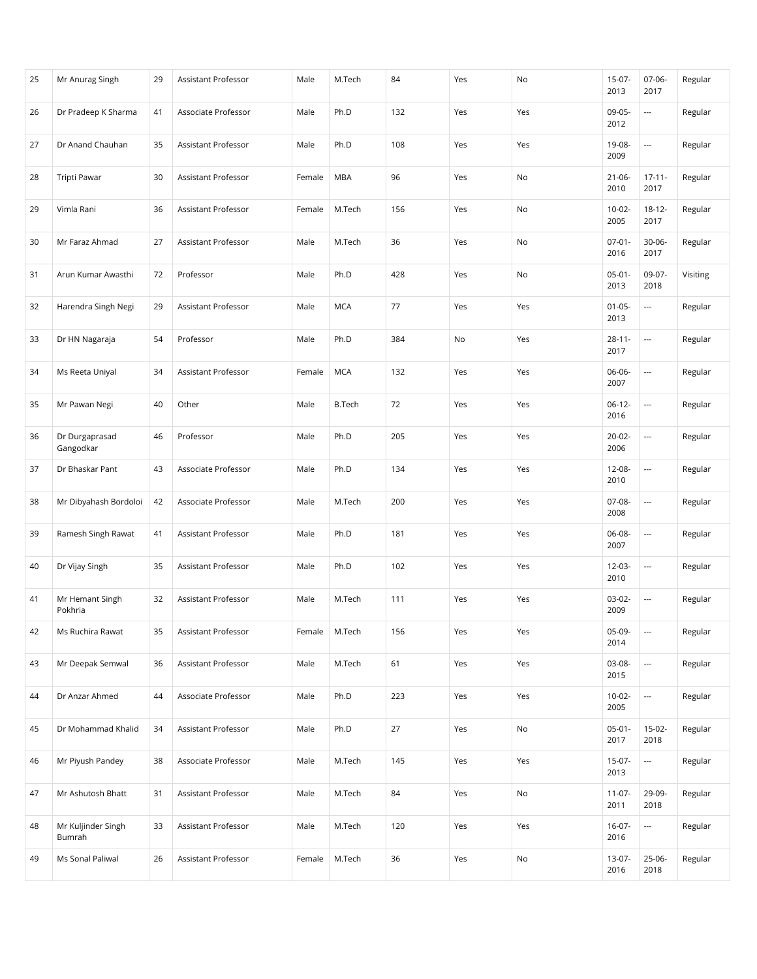| 25 | Mr Anurag Singh              | 29 | Assistant Professor        | Male   | M.Tech        | 84  | Yes | No  | 15-07-<br>2013      | $07-06-$<br>2017         | Regular  |
|----|------------------------------|----|----------------------------|--------|---------------|-----|-----|-----|---------------------|--------------------------|----------|
| 26 | Dr Pradeep K Sharma          | 41 | Associate Professor        | Male   | Ph.D          | 132 | Yes | Yes | 09-05-<br>2012      | $\overline{\phantom{a}}$ | Regular  |
| 27 | Dr Anand Chauhan             | 35 | Assistant Professor        | Male   | Ph.D          | 108 | Yes | Yes | 19-08-<br>2009      | $\overline{\phantom{a}}$ | Regular  |
| 28 | Tripti Pawar                 | 30 | Assistant Professor        | Female | <b>MBA</b>    | 96  | Yes | No  | $21 - 06 -$<br>2010 | $17 - 11 -$<br>2017      | Regular  |
| 29 | Vimla Rani                   | 36 | Assistant Professor        | Female | M.Tech        | 156 | Yes | No  | $10-02-$<br>2005    | $18 - 12 -$<br>2017      | Regular  |
| 30 | Mr Faraz Ahmad               | 27 | Assistant Professor        | Male   | M.Tech        | 36  | Yes | No  | $07-01-$<br>2016    | $30 - 06 -$<br>2017      | Regular  |
| 31 | Arun Kumar Awasthi           | 72 | Professor                  | Male   | Ph.D          | 428 | Yes | No  | $05-01-$<br>2013    | 09-07-<br>2018           | Visiting |
| 32 | Harendra Singh Negi          | 29 | Assistant Professor        | Male   | <b>MCA</b>    | 77  | Yes | Yes | $01 - 05 -$<br>2013 | ---                      | Regular  |
| 33 | Dr HN Nagaraja               | 54 | Professor                  | Male   | Ph.D          | 384 | No  | Yes | $28 - 11 -$<br>2017 | $\hspace{0.05cm} \ldots$ | Regular  |
| 34 | Ms Reeta Uniyal              | 34 | Assistant Professor        | Female | <b>MCA</b>    | 132 | Yes | Yes | 06-06-<br>2007      | $\overline{\phantom{a}}$ | Regular  |
| 35 | Mr Pawan Negi                | 40 | Other                      | Male   | <b>B.Tech</b> | 72  | Yes | Yes | $06-12-$<br>2016    | $\hspace{0.05cm} \ldots$ | Regular  |
| 36 | Dr Durgaprasad<br>Gangodkar  | 46 | Professor                  | Male   | Ph.D          | 205 | Yes | Yes | $20 - 02 -$<br>2006 | $\overline{\phantom{a}}$ | Regular  |
| 37 | Dr Bhaskar Pant              | 43 | Associate Professor        | Male   | Ph.D          | 134 | Yes | Yes | 12-08-<br>2010      | $\overline{\phantom{a}}$ | Regular  |
| 38 | Mr Dibyahash Bordoloi        | 42 | Associate Professor        | Male   | M.Tech        | 200 | Yes | Yes | 07-08-<br>2008      | $\overline{\phantom{a}}$ | Regular  |
| 39 | Ramesh Singh Rawat           | 41 | Assistant Professor        | Male   | Ph.D          | 181 | Yes | Yes | 06-08-<br>2007      | $\overline{\phantom{a}}$ | Regular  |
| 40 | Dr Vijay Singh               | 35 | Assistant Professor        | Male   | Ph.D          | 102 | Yes | Yes | 12-03-<br>2010      | $\overline{\phantom{a}}$ | Regular  |
| 41 | Mr Hemant Singh<br>Pokhria   | 32 | <b>Assistant Professor</b> | Male   | M.Tech        | 111 | Yes | Yes | 03-02-<br>2009      | $\overline{\phantom{a}}$ | Regular  |
| 42 | Ms Ruchira Rawat             | 35 | Assistant Professor        | Female | M.Tech        | 156 | Yes | Yes | 05-09-<br>2014      | $\overline{\phantom{a}}$ | Regular  |
| 43 | Mr Deepak Semwal             | 36 | Assistant Professor        | Male   | M.Tech        | 61  | Yes | Yes | 03-08-<br>2015      | $\hspace{0.05cm} \ldots$ | Regular  |
| 44 | Dr Anzar Ahmed               | 44 | Associate Professor        | Male   | Ph.D          | 223 | Yes | Yes | $10-02 -$<br>2005   | $\overline{\phantom{a}}$ | Regular  |
| 45 | Dr Mohammad Khalid           | 34 | Assistant Professor        | Male   | Ph.D          | 27  | Yes | No  | $05-01-$<br>2017    | $15-02-$<br>2018         | Regular  |
| 46 | Mr Piyush Pandey             | 38 | Associate Professor        | Male   | M.Tech        | 145 | Yes | Yes | $15-07-$<br>2013    | $\overline{\phantom{a}}$ | Regular  |
| 47 | Mr Ashutosh Bhatt            | 31 | Assistant Professor        | Male   | M.Tech        | 84  | Yes | No  | $11-07-$<br>2011    | 29-09-<br>2018           | Regular  |
| 48 | Mr Kuljinder Singh<br>Bumrah | 33 | Assistant Professor        | Male   | M.Tech        | 120 | Yes | Yes | $16 - 07 -$<br>2016 | $\hspace{0.05cm} \ldots$ | Regular  |
| 49 | Ms Sonal Paliwal             | 26 | Assistant Professor        | Female | M.Tech        | 36  | Yes | No  | 13-07-<br>2016      | 25-06-<br>2018           | Regular  |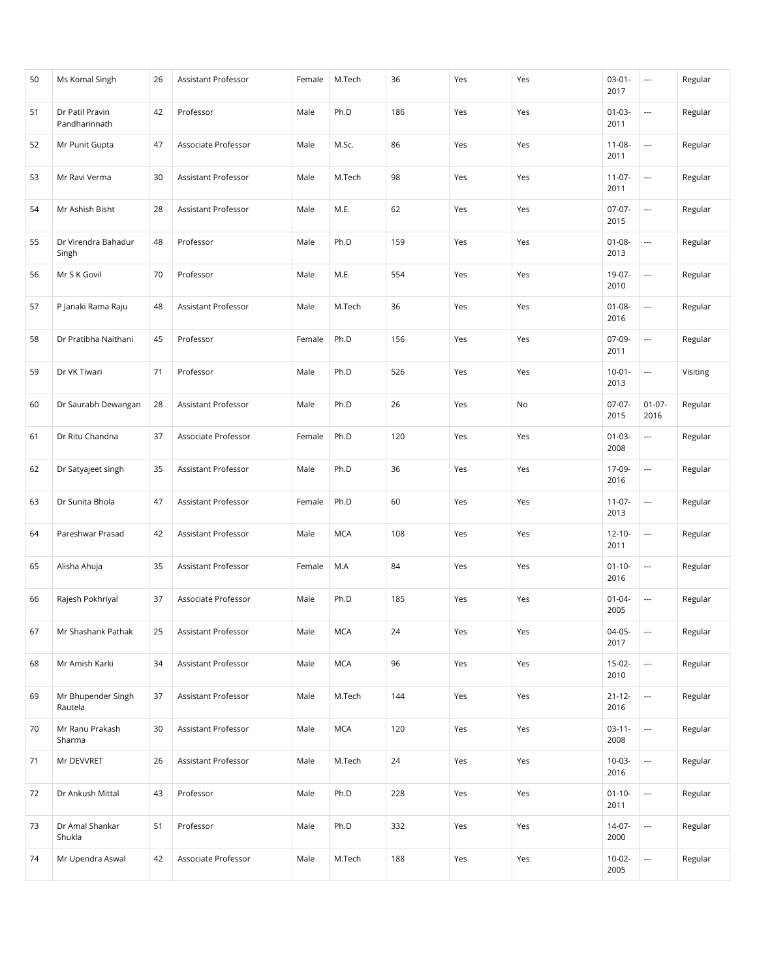| 50 | Ms Komal Singh                   | 26 | Assistant Professor | Female | M.Tech     | 36  | Yes | Yes | $03-01-$<br>2017    | $\cdots$                 | Regular  |
|----|----------------------------------|----|---------------------|--------|------------|-----|-----|-----|---------------------|--------------------------|----------|
| 51 | Dr Patil Pravin<br>Pandharinnath | 42 | Professor           | Male   | Ph.D       | 186 | Yes | Yes | $01 - 03 -$<br>2011 | $\overline{\phantom{a}}$ | Regular  |
| 52 | Mr Punit Gupta                   | 47 | Associate Professor | Male   | M.Sc.      | 86  | Yes | Yes | $11 - 08 -$<br>2011 | $\hspace{0.05cm} \ldots$ | Regular  |
| 53 | Mr Ravi Verma                    | 30 | Assistant Professor | Male   | M.Tech     | 98  | Yes | Yes | $11-07-$<br>2011    | $\overline{\phantom{a}}$ | Regular  |
| 54 | Mr Ashish Bisht                  | 28 | Assistant Professor | Male   | M.E.       | 62  | Yes | Yes | $07-07-$<br>2015    | $\overline{\phantom{a}}$ | Regular  |
| 55 | Dr Virendra Bahadur<br>Singh     | 48 | Professor           | Male   | Ph.D       | 159 | Yes | Yes | $01 - 08 -$<br>2013 | $\hspace{0.05cm} \ldots$ | Regular  |
| 56 | Mr S K Govil                     | 70 | Professor           | Male   | M.E.       | 554 | Yes | Yes | 19-07-<br>2010      | $\overline{\phantom{a}}$ | Regular  |
| 57 | P Janaki Rama Raju               | 48 | Assistant Professor | Male   | M.Tech     | 36  | Yes | Yes | $01 - 08 -$<br>2016 | ---                      | Regular  |
| 58 | Dr Pratibha Naithani             | 45 | Professor           | Female | Ph.D       | 156 | Yes | Yes | 07-09-<br>2011      | $\hspace{0.05cm} \ldots$ | Regular  |
| 59 | Dr VK Tiwari                     | 71 | Professor           | Male   | Ph.D       | 526 | Yes | Yes | $10 - 01 -$<br>2013 | $\overline{\phantom{a}}$ | Visiting |
| 60 | Dr Saurabh Dewangan              | 28 | Assistant Professor | Male   | Ph.D       | 26  | Yes | No  | $07-07-$<br>2015    | $01 - 07 -$<br>2016      | Regular  |
| 61 | Dr Ritu Chandna                  | 37 | Associate Professor | Female | Ph.D       | 120 | Yes | Yes | $01 - 03 -$<br>2008 | $\overline{\phantom{a}}$ | Regular  |
| 62 | Dr Satyajeet singh               | 35 | Assistant Professor | Male   | Ph.D       | 36  | Yes | Yes | 17-09-<br>2016      | $\overline{\phantom{a}}$ | Regular  |
| 63 | Dr Sunita Bhola                  | 47 | Assistant Professor | Female | Ph.D       | 60  | Yes | Yes | $11-07-$<br>2013    | $\hspace{0.05cm} \ldots$ | Regular  |
| 64 | Pareshwar Prasad                 | 42 | Assistant Professor | Male   | <b>MCA</b> | 108 | Yes | Yes | $12 - 10 -$<br>2011 | $\overline{\phantom{a}}$ | Regular  |
| 65 | Alisha Ahuja                     | 35 | Assistant Professor | Female | M.A        | 84  | Yes | Yes | $01 - 10 -$<br>2016 | $\overline{\phantom{a}}$ | Regular  |
| 66 | Rajesh Pokhriyal                 | 37 | Associate Professor | Male   | Ph.D       | 185 | Yes | Yes | $01 - 04 -$<br>2005 | $\overline{\phantom{a}}$ | Regular  |
| 67 | Mr Shashank Pathak               | 25 | Assistant Professor | Male   | <b>MCA</b> | 24  | Yes | Yes | $04 - 05 -$<br>2017 | $\overline{\phantom{a}}$ | Regular  |
| 68 | Mr Amish Karki                   | 34 | Assistant Professor | Male   | <b>MCA</b> | 96  | Yes | Yes | 15-02-<br>2010      | $\overline{\phantom{a}}$ | Regular  |
| 69 | Mr Bhupender Singh<br>Rautela    | 37 | Assistant Professor | Male   | M.Tech     | 144 | Yes | Yes | $21 - 12 -$<br>2016 | $\overline{\phantom{a}}$ | Regular  |
| 70 | Mr Ranu Prakash<br>Sharma        | 30 | Assistant Professor | Male   | <b>MCA</b> | 120 | Yes | Yes | $03-11-$<br>2008    | $\overline{\phantom{a}}$ | Regular  |
| 71 | Mr DEVVRET                       | 26 | Assistant Professor | Male   | M.Tech     | 24  | Yes | Yes | $10-03-$<br>2016    | ---                      | Regular  |
| 72 | Dr Ankush Mittal                 | 43 | Professor           | Male   | Ph.D       | 228 | Yes | Yes | $01 - 10 -$<br>2011 | $\overline{\phantom{a}}$ | Regular  |
| 73 | Dr Amal Shankar<br>Shukla        | 51 | Professor           | Male   | Ph.D       | 332 | Yes | Yes | 14-07-<br>2000      | $\hspace{0.05cm} \ldots$ | Regular  |
| 74 | Mr Upendra Aswal                 | 42 | Associate Professor | Male   | M.Tech     | 188 | Yes | Yes | $10-02-$<br>2005    | ---                      | Regular  |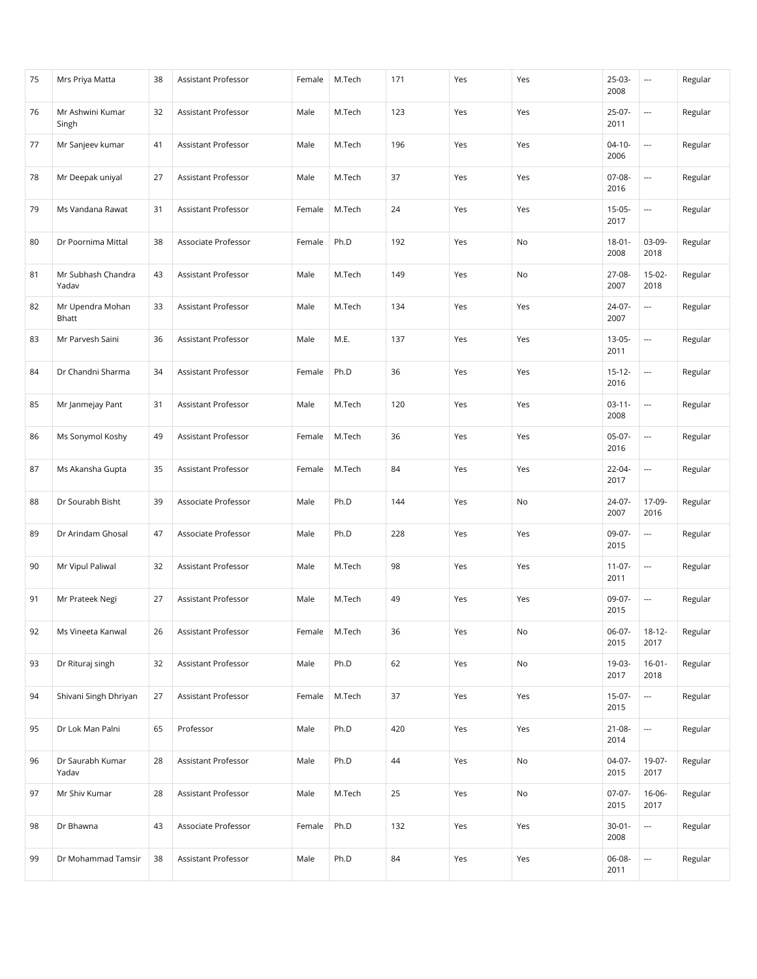| 75 | Mrs Priya Matta             | 38 | Assistant Professor | Female | M.Tech | 171 | Yes | Yes | 25-03-<br>2008      | $\overline{\phantom{a}}$ | Regular |
|----|-----------------------------|----|---------------------|--------|--------|-----|-----|-----|---------------------|--------------------------|---------|
| 76 | Mr Ashwini Kumar<br>Singh   | 32 | Assistant Professor | Male   | M.Tech | 123 | Yes | Yes | 25-07-<br>2011      | $\overline{\phantom{a}}$ | Regular |
| 77 | Mr Sanjeev kumar            | 41 | Assistant Professor | Male   | M.Tech | 196 | Yes | Yes | $04-10-$<br>2006    | $\overline{\phantom{a}}$ | Regular |
| 78 | Mr Deepak uniyal            | 27 | Assistant Professor | Male   | M.Tech | 37  | Yes | Yes | $07-08-$<br>2016    | $\overline{\phantom{a}}$ | Regular |
| 79 | Ms Vandana Rawat            | 31 | Assistant Professor | Female | M.Tech | 24  | Yes | Yes | $15-05-$<br>2017    | $\overline{\phantom{a}}$ | Regular |
| 80 | Dr Poornima Mittal          | 38 | Associate Professor | Female | Ph.D   | 192 | Yes | No  | $18 - 01 -$<br>2008 | 03-09-<br>2018           | Regular |
| 81 | Mr Subhash Chandra<br>Yadav | 43 | Assistant Professor | Male   | M.Tech | 149 | Yes | No  | 27-08-<br>2007      | $15-02-$<br>2018         | Regular |
| 82 | Mr Upendra Mohan<br>Bhatt   | 33 | Assistant Professor | Male   | M.Tech | 134 | Yes | Yes | 24-07-<br>2007      | ---                      | Regular |
| 83 | Mr Parvesh Saini            | 36 | Assistant Professor | Male   | M.E.   | 137 | Yes | Yes | $13-05-$<br>2011    | $\overline{\phantom{a}}$ | Regular |
| 84 | Dr Chandni Sharma           | 34 | Assistant Professor | Female | Ph.D   | 36  | Yes | Yes | $15 - 12 -$<br>2016 | $\overline{\phantom{a}}$ | Regular |
| 85 | Mr Janmejay Pant            | 31 | Assistant Professor | Male   | M.Tech | 120 | Yes | Yes | $03-11-$<br>2008    | $\hspace{0.05cm} \ldots$ | Regular |
| 86 | Ms Sonymol Koshy            | 49 | Assistant Professor | Female | M.Tech | 36  | Yes | Yes | $05-07-$<br>2016    | $\overline{\phantom{a}}$ | Regular |
| 87 | Ms Akansha Gupta            | 35 | Assistant Professor | Female | M.Tech | 84  | Yes | Yes | 22-04-<br>2017      | $\overline{\phantom{a}}$ | Regular |
| 88 | Dr Sourabh Bisht            | 39 | Associate Professor | Male   | Ph.D   | 144 | Yes | No  | 24-07-<br>2007      | 17-09-<br>2016           | Regular |
| 89 | Dr Arindam Ghosal           | 47 | Associate Professor | Male   | Ph.D   | 228 | Yes | Yes | 09-07-<br>2015      | $\overline{\phantom{a}}$ | Regular |
| 90 | Mr Vipul Paliwal            | 32 | Assistant Professor | Male   | M.Tech | 98  | Yes | Yes | $11-07-$<br>2011    | ---                      | Regular |
| 91 | Mr Prateek Negi             | 27 | Assistant Professor | Male   | M.Tech | 49  | Yes | Yes | 09-07-<br>2015      | $\overline{\phantom{a}}$ | Regular |
| 92 | Ms Vineeta Kanwal           | 26 | Assistant Professor | Female | M.Tech | 36  | Yes | No  | 06-07-<br>2015      | $18-12-$<br>2017         | Regular |
| 93 | Dr Rituraj singh            | 32 | Assistant Professor | Male   | Ph.D   | 62  | Yes | No  | 19-03-<br>2017      | $16-01-$<br>2018         | Regular |
| 94 | Shivani Singh Dhriyan       | 27 | Assistant Professor | Female | M.Tech | 37  | Yes | Yes | 15-07-<br>2015      | ---                      | Regular |
| 95 | Dr Lok Man Palni            | 65 | Professor           | Male   | Ph.D   | 420 | Yes | Yes | $21 - 08 -$<br>2014 | $\hspace{0.05cm} \ldots$ | Regular |
| 96 | Dr Saurabh Kumar<br>Yadav   | 28 | Assistant Professor | Male   | Ph.D   | 44  | Yes | No  | $04-07-$<br>2015    | 19-07-<br>2017           | Regular |
| 97 | Mr Shiv Kumar               | 28 | Assistant Professor | Male   | M.Tech | 25  | Yes | No  | $07-07-$<br>2015    | $16 - 06 -$<br>2017      | Regular |
| 98 | Dr Bhawna                   | 43 | Associate Professor | Female | Ph.D   | 132 | Yes | Yes | $30 - 01 -$<br>2008 | $\hspace{0.05cm} \ldots$ | Regular |
| 99 | Dr Mohammad Tamsir          | 38 | Assistant Professor | Male   | Ph.D   | 84  | Yes | Yes | 06-08-<br>2011      | ---                      | Regular |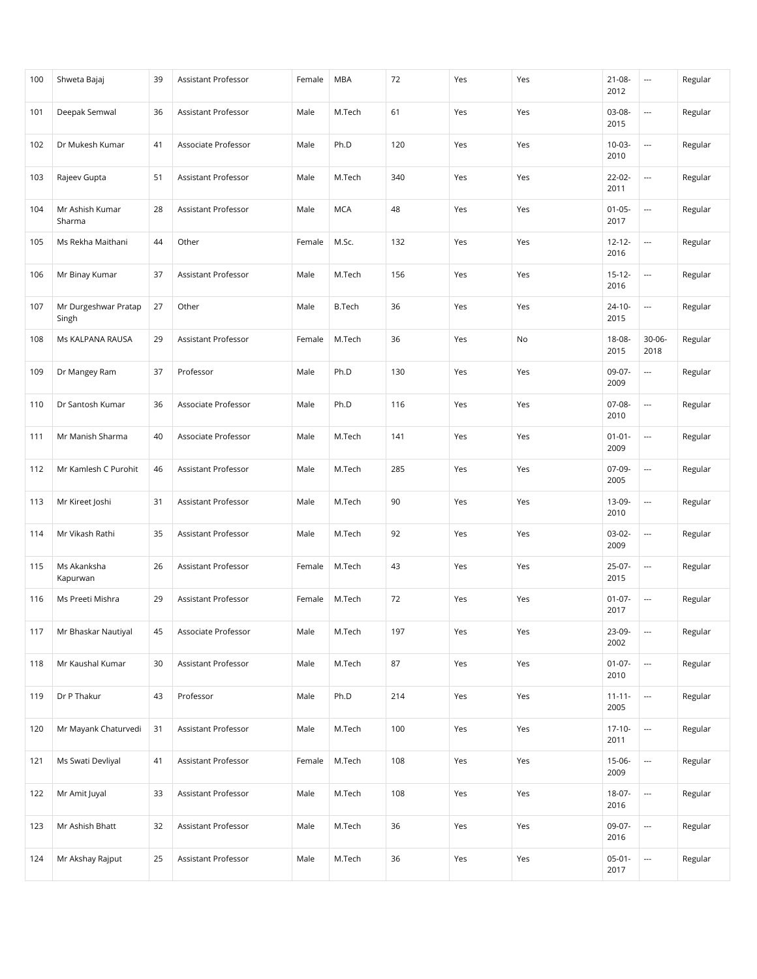| 100 | Shweta Bajaj                  | 39 | Assistant Professor        | Female | <b>MBA</b>    | 72  | Yes | Yes | $21 - 08 -$<br>2012 | $\cdots$                 | Regular |
|-----|-------------------------------|----|----------------------------|--------|---------------|-----|-----|-----|---------------------|--------------------------|---------|
| 101 | Deepak Semwal                 | 36 | Assistant Professor        | Male   | M.Tech        | 61  | Yes | Yes | 03-08-<br>2015      |                          | Regular |
| 102 | Dr Mukesh Kumar               | 41 | Associate Professor        | Male   | Ph.D          | 120 | Yes | Yes | 10-03-<br>2010      | ---                      | Regular |
| 103 | Rajeev Gupta                  | 51 | Assistant Professor        | Male   | M.Tech        | 340 | Yes | Yes | 22-02-<br>2011      | $\hspace{0.05cm} \ldots$ | Regular |
| 104 | Mr Ashish Kumar<br>Sharma     | 28 | Assistant Professor        | Male   | <b>MCA</b>    | 48  | Yes | Yes | $01 - 05 -$<br>2017 | $\cdots$                 | Regular |
| 105 | Ms Rekha Maithani             | 44 | Other                      | Female | M.Sc.         | 132 | Yes | Yes | $12 - 12 -$<br>2016 | ---                      | Regular |
| 106 | Mr Binay Kumar                | 37 | Assistant Professor        | Male   | M.Tech        | 156 | Yes | Yes | $15 - 12 -$<br>2016 | $\overline{\phantom{a}}$ | Regular |
| 107 | Mr Durgeshwar Pratap<br>Singh | 27 | Other                      | Male   | <b>B.Tech</b> | 36  | Yes | Yes | $24 - 10 -$<br>2015 | $\cdots$                 | Regular |
| 108 | Ms KALPANA RAUSA              | 29 | <b>Assistant Professor</b> | Female | M.Tech        | 36  | Yes | No  | 18-08-<br>2015      | 30-06-<br>2018           | Regular |
| 109 | Dr Mangey Ram                 | 37 | Professor                  | Male   | Ph.D          | 130 | Yes | Yes | 09-07-<br>2009      | $\overline{\phantom{a}}$ | Regular |
| 110 | Dr Santosh Kumar              | 36 | Associate Professor        | Male   | Ph.D          | 116 | Yes | Yes | 07-08-<br>2010      | $\overline{\phantom{a}}$ | Regular |
| 111 | Mr Manish Sharma              | 40 | Associate Professor        | Male   | M.Tech        | 141 | Yes | Yes | $01 - 01 -$<br>2009 | $\overline{\phantom{a}}$ | Regular |
| 112 | Mr Kamlesh C Purohit          | 46 | Assistant Professor        | Male   | M.Tech        | 285 | Yes | Yes | 07-09-<br>2005      | $\overline{\phantom{a}}$ | Regular |
| 113 | Mr Kireet Joshi               | 31 | Assistant Professor        | Male   | M.Tech        | 90  | Yes | Yes | 13-09-<br>2010      | $\hspace{0.05cm} \ldots$ | Regular |
| 114 | Mr Vikash Rathi               | 35 | Assistant Professor        | Male   | M.Tech        | 92  | Yes | Yes | 03-02-<br>2009      | $\overline{\phantom{a}}$ | Regular |
| 115 | Ms Akanksha<br>Kapurwan       | 26 | Assistant Professor        | Female | M.Tech        | 43  | Yes | Yes | 25-07-<br>2015      | ---                      | Regular |
| 116 | Ms Preeti Mishra              | 29 | <b>Assistant Professor</b> | Female | M.Tech        | 72  | Yes | Yes | $01-07-$<br>2017    | ---                      | Regular |
| 117 | Mr Bhaskar Nautiyal           | 45 | Associate Professor        | Male   | M.Tech        | 197 | Yes | Yes | 23-09-<br>2002      | $\overline{\phantom{a}}$ | Regular |
| 118 | Mr Kaushal Kumar              | 30 | Assistant Professor        | Male   | M.Tech        | 87  | Yes | Yes | $01-07-$<br>2010    | $\overline{\phantom{a}}$ | Regular |
| 119 | Dr P Thakur                   | 43 | Professor                  | Male   | Ph.D          | 214 | Yes | Yes | $11 - 11 -$<br>2005 | ---                      | Regular |
| 120 | Mr Mayank Chaturvedi          | 31 | Assistant Professor        | Male   | M.Tech        | 100 | Yes | Yes | $17 - 10 -$<br>2011 | $\overline{\phantom{a}}$ | Regular |
| 121 | Ms Swati Devliyal             | 41 | Assistant Professor        | Female | M.Tech        | 108 | Yes | Yes | 15-06-<br>2009      | $\hspace{0.05cm} \ldots$ | Regular |
| 122 | Mr Amit Juyal                 | 33 | Assistant Professor        | Male   | M.Tech        | 108 | Yes | Yes | 18-07-<br>2016      | $\overline{\phantom{a}}$ | Regular |
| 123 | Mr Ashish Bhatt               | 32 | Assistant Professor        | Male   | M.Tech        | 36  | Yes | Yes | 09-07-<br>2016      | $\hspace{0.05cm} \ldots$ | Regular |
| 124 | Mr Akshay Rajput              | 25 | Assistant Professor        | Male   | M.Tech        | 36  | Yes | Yes | $05-01-$<br>2017    | ---                      | Regular |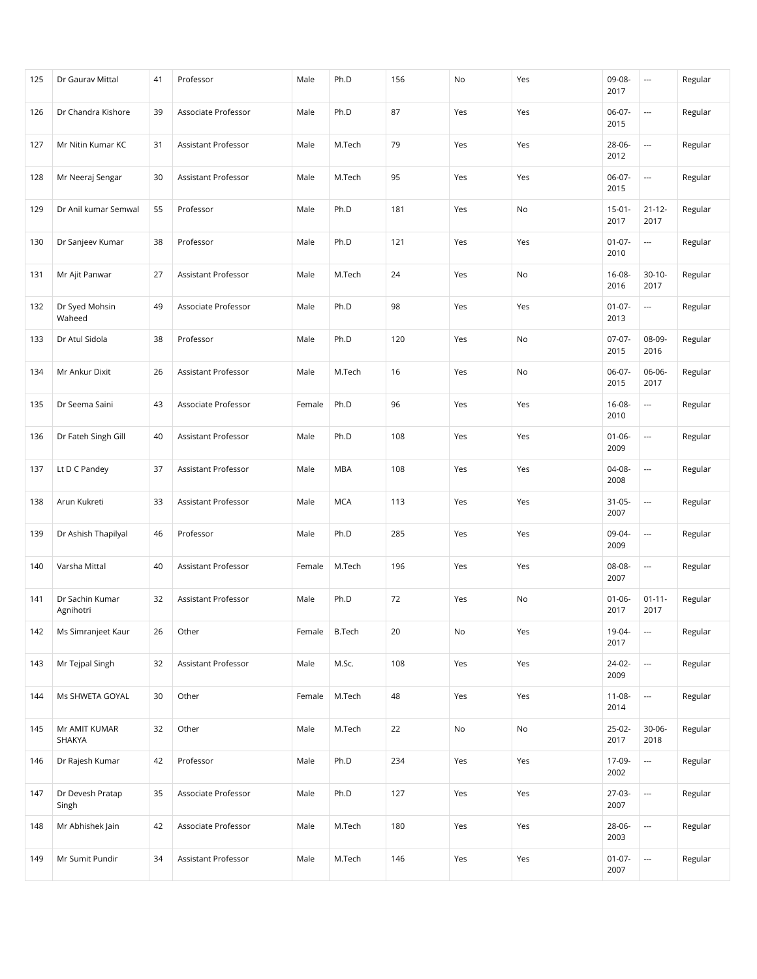| 125 | Dr Gaurav Mittal             | 41 | Professor           | Male   | Ph.D          | 156 | No            | Yes | 09-08-<br>2017      | $\overline{\phantom{a}}$ | Regular |
|-----|------------------------------|----|---------------------|--------|---------------|-----|---------------|-----|---------------------|--------------------------|---------|
| 126 | Dr Chandra Kishore           | 39 | Associate Professor | Male   | Ph.D          | 87  | Yes           | Yes | 06-07-<br>2015      | $\overline{\phantom{a}}$ | Regular |
| 127 | Mr Nitin Kumar KC            | 31 | Assistant Professor | Male   | M.Tech        | 79  | Yes           | Yes | 28-06-<br>2012      | $\hspace{0.05cm} \ldots$ | Regular |
| 128 | Mr Neeraj Sengar             | 30 | Assistant Professor | Male   | M.Tech        | 95  | Yes           | Yes | $06-07-$<br>2015    | $\overline{\phantom{a}}$ | Regular |
| 129 | Dr Anil kumar Semwal         | 55 | Professor           | Male   | Ph.D          | 181 | Yes           | No  | $15 - 01 -$<br>2017 | $21 - 12 -$<br>2017      | Regular |
| 130 | Dr Sanjeev Kumar             | 38 | Professor           | Male   | Ph.D          | 121 | Yes           | Yes | $01-07-$<br>2010    | $\hspace{0.05cm} \ldots$ | Regular |
| 131 | Mr Ajit Panwar               | 27 | Assistant Professor | Male   | M.Tech        | 24  | Yes           | No  | 16-08-<br>2016      | $30-10-$<br>2017         | Regular |
| 132 | Dr Syed Mohsin<br>Waheed     | 49 | Associate Professor | Male   | Ph.D          | 98  | Yes           | Yes | $01 - 07 -$<br>2013 | $\overline{\phantom{a}}$ | Regular |
| 133 | Dr Atul Sidola               | 38 | Professor           | Male   | Ph.D          | 120 | Yes           | No  | $07-07-$<br>2015    | 08-09-<br>2016           | Regular |
| 134 | Mr Ankur Dixit               | 26 | Assistant Professor | Male   | M.Tech        | 16  | Yes           | No  | 06-07-<br>2015      | 06-06-<br>2017           | Regular |
| 135 | Dr Seema Saini               | 43 | Associate Professor | Female | Ph.D          | 96  | Yes           | Yes | 16-08-<br>2010      | ---                      | Regular |
| 136 | Dr Fateh Singh Gill          | 40 | Assistant Professor | Male   | Ph.D          | 108 | Yes           | Yes | $01 - 06 -$<br>2009 | $\overline{\phantom{a}}$ | Regular |
| 137 | Lt D C Pandey                | 37 | Assistant Professor | Male   | <b>MBA</b>    | 108 | Yes           | Yes | 04-08-<br>2008      | ---                      | Regular |
| 138 | Arun Kukreti                 | 33 | Assistant Professor | Male   | <b>MCA</b>    | 113 | Yes           | Yes | $31 - 05 -$<br>2007 | $\hspace{0.05cm} \ldots$ | Regular |
| 139 | Dr Ashish Thapilyal          | 46 | Professor           | Male   | Ph.D          | 285 | Yes           | Yes | 09-04-<br>2009      | $\hspace{0.05cm} \ldots$ | Regular |
| 140 | Varsha Mittal                | 40 | Assistant Professor | Female | M.Tech        | 196 | Yes           | Yes | 08-08-<br>2007      | $\overline{\phantom{a}}$ | Regular |
| 141 | Dr Sachin Kumar<br>Agnihotri | 32 | Assistant Professor | Male   | Ph.D          | 72  | Yes           | No  | $01 - 06 -$<br>2017 | $01 - 11 -$<br>2017      | Regular |
| 142 | Ms Simranjeet Kaur           | 26 | Other               | Female | <b>B.Tech</b> | 20  | $\mathsf{No}$ | Yes | 19-04-<br>2017      | $\overline{\phantom{a}}$ | Regular |
| 143 | Mr Tejpal Singh              | 32 | Assistant Professor | Male   | M.Sc.         | 108 | Yes           | Yes | 24-02-<br>2009      | $\overline{\phantom{a}}$ | Regular |
| 144 | Ms SHWETA GOYAL              | 30 | Other               | Female | M.Tech        | 48  | Yes           | Yes | $11 - 08 -$<br>2014 | $\overline{\phantom{a}}$ | Regular |
| 145 | Mr AMIT KUMAR<br>SHAKYA      | 32 | Other               | Male   | M.Tech        | 22  | No            | No  | 25-02-<br>2017      | $30 - 06$<br>2018        | Regular |
| 146 | Dr Rajesh Kumar              | 42 | Professor           | Male   | Ph.D          | 234 | Yes           | Yes | 17-09-<br>2002      | $\hspace{0.05cm} \ldots$ | Regular |
| 147 | Dr Devesh Pratap<br>Singh    | 35 | Associate Professor | Male   | Ph.D          | 127 | Yes           | Yes | 27-03-<br>2007      | $\overline{\phantom{a}}$ | Regular |
| 148 | Mr Abhishek Jain             | 42 | Associate Professor | Male   | M.Tech        | 180 | Yes           | Yes | 28-06-<br>2003      | $\hspace{0.05cm} \ldots$ | Regular |
| 149 | Mr Sumit Pundir              | 34 | Assistant Professor | Male   | M.Tech        | 146 | Yes           | Yes | $01 - 07 -$<br>2007 | ---                      | Regular |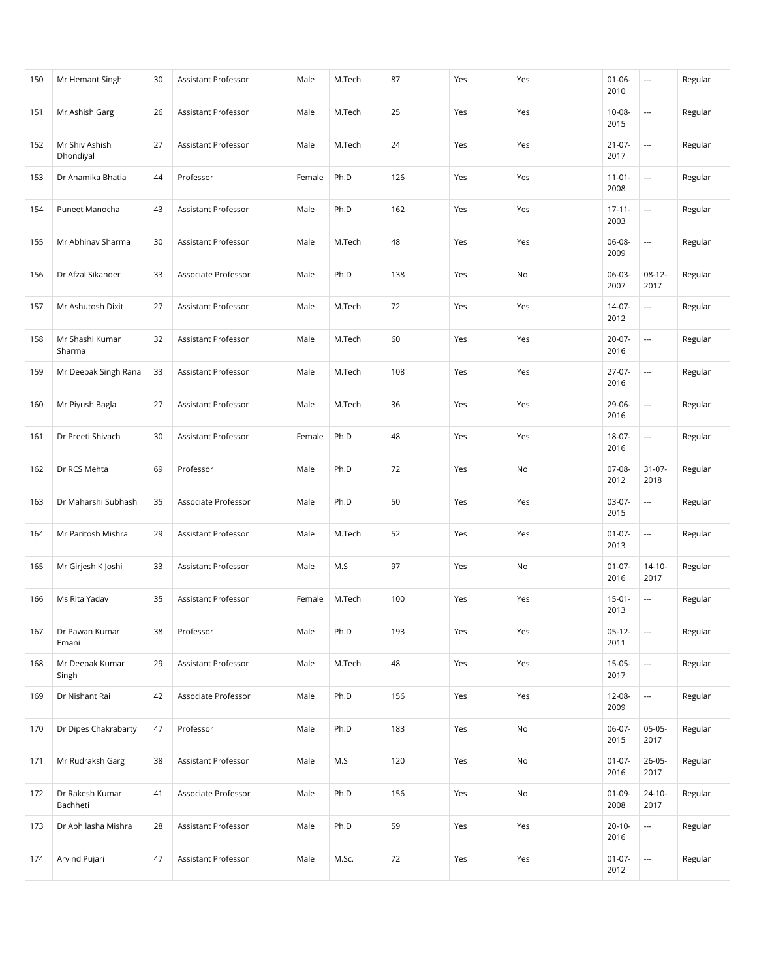| 150 | Mr Hemant Singh             | 30 | Assistant Professor | Male   | M.Tech | 87  | Yes | Yes | $01 - 06 -$<br>2010 | $\overline{\phantom{a}}$ | Regular |
|-----|-----------------------------|----|---------------------|--------|--------|-----|-----|-----|---------------------|--------------------------|---------|
| 151 | Mr Ashish Garg              | 26 | Assistant Professor | Male   | M.Tech | 25  | Yes | Yes | $10 - 08 -$<br>2015 | $\overline{\phantom{a}}$ | Regular |
| 152 | Mr Shiv Ashish<br>Dhondiyal | 27 | Assistant Professor | Male   | M.Tech | 24  | Yes | Yes | $21 - 07 -$<br>2017 | $\hspace{0.05cm} \ldots$ | Regular |
| 153 | Dr Anamika Bhatia           | 44 | Professor           | Female | Ph.D   | 126 | Yes | Yes | $11 - 01 -$<br>2008 | $\overline{\phantom{a}}$ | Regular |
| 154 | Puneet Manocha              | 43 | Assistant Professor | Male   | Ph.D   | 162 | Yes | Yes | $17 - 11 -$<br>2003 | $\overline{\phantom{a}}$ | Regular |
| 155 | Mr Abhinav Sharma           | 30 | Assistant Professor | Male   | M.Tech | 48  | Yes | Yes | 06-08-<br>2009      | $\hspace{0.05cm} \ldots$ | Regular |
| 156 | Dr Afzal Sikander           | 33 | Associate Professor | Male   | Ph.D   | 138 | Yes | No  | 06-03-<br>2007      | $08-12-$<br>2017         | Regular |
| 157 | Mr Ashutosh Dixit           | 27 | Assistant Professor | Male   | M.Tech | 72  | Yes | Yes | 14-07-<br>2012      | ---                      | Regular |
| 158 | Mr Shashi Kumar<br>Sharma   | 32 | Assistant Professor | Male   | M.Tech | 60  | Yes | Yes | 20-07-<br>2016      | $\hspace{0.05cm} \ldots$ | Regular |
| 159 | Mr Deepak Singh Rana        | 33 | Assistant Professor | Male   | M.Tech | 108 | Yes | Yes | $27-07-$<br>2016    | $\overline{\phantom{a}}$ | Regular |
| 160 | Mr Piyush Bagla             | 27 | Assistant Professor | Male   | M.Tech | 36  | Yes | Yes | 29-06-<br>2016      | $\hspace{0.05cm} \ldots$ | Regular |
| 161 | Dr Preeti Shivach           | 30 | Assistant Professor | Female | Ph.D   | 48  | Yes | Yes | 18-07-<br>2016      | $\overline{\phantom{a}}$ | Regular |
| 162 | Dr RCS Mehta                | 69 | Professor           | Male   | Ph.D   | 72  | Yes | No  | 07-08-<br>2012      | $31-07-$<br>2018         | Regular |
| 163 | Dr Maharshi Subhash         | 35 | Associate Professor | Male   | Ph.D   | 50  | Yes | Yes | 03-07-<br>2015      | $\overline{\phantom{a}}$ | Regular |
| 164 | Mr Paritosh Mishra          | 29 | Assistant Professor | Male   | M.Tech | 52  | Yes | Yes | $01-07-$<br>2013    | $\overline{\phantom{a}}$ | Regular |
| 165 | Mr Girjesh K Joshi          | 33 | Assistant Professor | Male   | M.S    | 97  | Yes | No  | $01 - 07 -$<br>2016 | $14 - 10 -$<br>2017      | Regular |
| 166 | Ms Rita Yadav               | 35 | Assistant Professor | Female | M.Tech | 100 | Yes | Yes | $15 - 01 -$<br>2013 | $\overline{\phantom{a}}$ | Regular |
| 167 | Dr Pawan Kumar<br>Emani     | 38 | Professor           | Male   | Ph.D   | 193 | Yes | Yes | $05-12-$<br>2011    | $\overline{\phantom{a}}$ | Regular |
| 168 | Mr Deepak Kumar<br>Singh    | 29 | Assistant Professor | Male   | M.Tech | 48  | Yes | Yes | $15-05-$<br>2017    | $\overline{\phantom{a}}$ | Regular |
| 169 | Dr Nishant Rai              | 42 | Associate Professor | Male   | Ph.D   | 156 | Yes | Yes | 12-08-<br>2009      | $\overline{\phantom{a}}$ | Regular |
| 170 | Dr Dipes Chakrabarty        | 47 | Professor           | Male   | Ph.D   | 183 | Yes | No  | 06-07-<br>2015      | $05-05-$<br>2017         | Regular |
| 171 | Mr Rudraksh Garg            | 38 | Assistant Professor | Male   | M.S    | 120 | Yes | No  | $01 - 07 -$<br>2016 | $26 - 05 -$<br>2017      | Regular |
| 172 | Dr Rakesh Kumar<br>Bachheti | 41 | Associate Professor | Male   | Ph.D   | 156 | Yes | No  | $01 - 09 -$<br>2008 | $24 - 10 -$<br>2017      | Regular |
| 173 | Dr Abhilasha Mishra         | 28 | Assistant Professor | Male   | Ph.D   | 59  | Yes | Yes | $20 - 10 -$<br>2016 | $\hspace{0.05cm} \ldots$ | Regular |
| 174 | Arvind Pujari               | 47 | Assistant Professor | Male   | M.Sc.  | 72  | Yes | Yes | $01 - 07 -$<br>2012 | ---                      | Regular |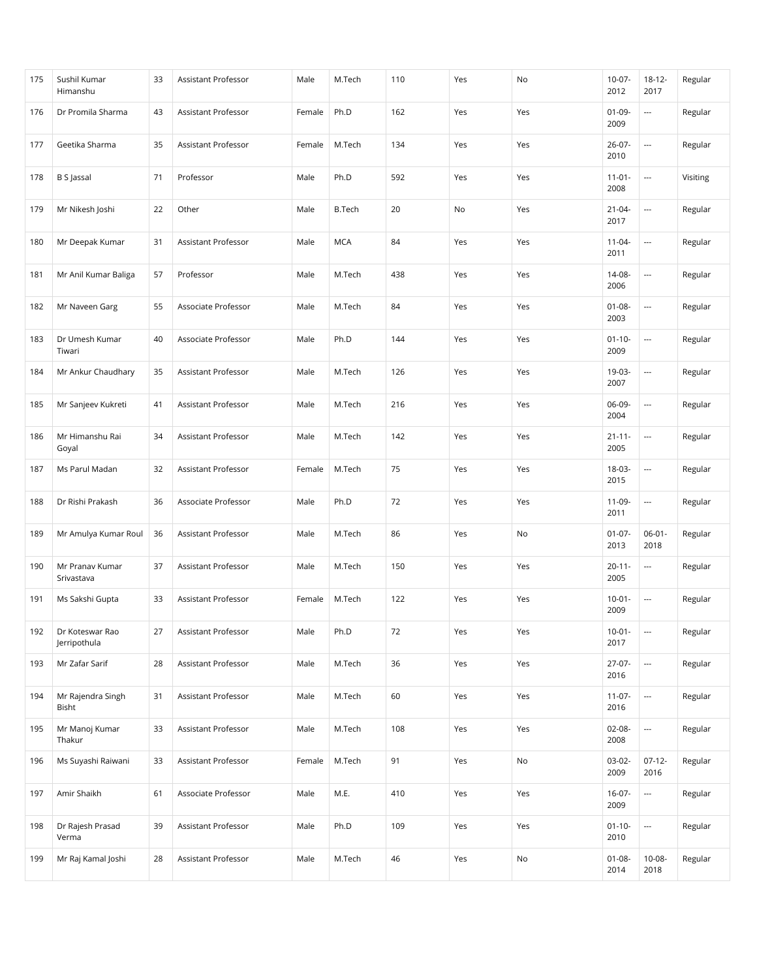| 175 | Sushil Kumar<br>Himanshu        | 33 | Assistant Professor        | Male   | M.Tech        | 110 | Yes | No  | $10-07 -$<br>2012   | $18 - 12 -$<br>2017      | Regular  |
|-----|---------------------------------|----|----------------------------|--------|---------------|-----|-----|-----|---------------------|--------------------------|----------|
| 176 | Dr Promila Sharma               | 43 | Assistant Professor        | Female | Ph.D          | 162 | Yes | Yes | $01-09-$<br>2009    | $\overline{\phantom{a}}$ | Regular  |
| 177 | Geetika Sharma                  | 35 | Assistant Professor        | Female | M.Tech        | 134 | Yes | Yes | $26 - 07 -$<br>2010 | $\hspace{0.05cm} \ldots$ | Regular  |
| 178 | B S Jassal                      | 71 | Professor                  | Male   | Ph.D          | 592 | Yes | Yes | $11 - 01 -$<br>2008 | $\overline{\phantom{a}}$ | Visiting |
| 179 | Mr Nikesh Joshi                 | 22 | Other                      | Male   | <b>B.Tech</b> | 20  | No  | Yes | $21 - 04 -$<br>2017 | $\cdots$                 | Regular  |
| 180 | Mr Deepak Kumar                 | 31 | Assistant Professor        | Male   | <b>MCA</b>    | 84  | Yes | Yes | $11 - 04 -$<br>2011 | $\overline{\phantom{a}}$ | Regular  |
| 181 | Mr Anil Kumar Baliga            | 57 | Professor                  | Male   | M.Tech        | 438 | Yes | Yes | 14-08-<br>2006      | $\overline{\phantom{a}}$ | Regular  |
| 182 | Mr Naveen Garg                  | 55 | Associate Professor        | Male   | M.Tech        | 84  | Yes | Yes | $01 - 08 -$<br>2003 | $\overline{\phantom{a}}$ | Regular  |
| 183 | Dr Umesh Kumar<br>Tiwari        | 40 | Associate Professor        | Male   | Ph.D          | 144 | Yes | Yes | $01 - 10 -$<br>2009 | $\hspace{0.05cm} \ldots$ | Regular  |
| 184 | Mr Ankur Chaudhary              | 35 | Assistant Professor        | Male   | M.Tech        | 126 | Yes | Yes | 19-03-<br>2007      | $\overline{\phantom{a}}$ | Regular  |
| 185 | Mr Sanjeev Kukreti              | 41 | Assistant Professor        | Male   | M.Tech        | 216 | Yes | Yes | 06-09-<br>2004      | ---                      | Regular  |
| 186 | Mr Himanshu Rai<br>Goyal        | 34 | Assistant Professor        | Male   | M.Tech        | 142 | Yes | Yes | $21 - 11 -$<br>2005 | $\overline{\phantom{a}}$ | Regular  |
| 187 | Ms Parul Madan                  | 32 | Assistant Professor        | Female | M.Tech        | 75  | Yes | Yes | 18-03-<br>2015      | ---                      | Regular  |
| 188 | Dr Rishi Prakash                | 36 | Associate Professor        | Male   | Ph.D          | 72  | Yes | Yes | 11-09-<br>2011      | $\overline{\phantom{a}}$ | Regular  |
| 189 | Mr Amulya Kumar Roul            | 36 | Assistant Professor        | Male   | M.Tech        | 86  | Yes | No  | $01-07-$<br>2013    | $06 - 01 -$<br>2018      | Regular  |
| 190 | Mr Pranav Kumar<br>Srivastava   | 37 | Assistant Professor        | Male   | M.Tech        | 150 | Yes | Yes | $20 - 11 -$<br>2005 | $\cdots$                 | Regular  |
| 191 | Ms Sakshi Gupta                 | 33 | <b>Assistant Professor</b> | Female | M.Tech        | 122 | Yes | Yes | $10-01-$<br>2009    | $\cdots$                 | Regular  |
| 192 | Dr Koteswar Rao<br>Jerripothula | 27 | Assistant Professor        | Male   | Ph.D          | 72  | Yes | Yes | $10 - 01 -$<br>2017 | $\overline{\phantom{a}}$ | Regular  |
| 193 | Mr Zafar Sarif                  | 28 | Assistant Professor        | Male   | M.Tech        | 36  | Yes | Yes | 27-07-<br>2016      | $\overline{\phantom{a}}$ | Regular  |
| 194 | Mr Rajendra Singh<br>Bisht      | 31 | Assistant Professor        | Male   | M.Tech        | 60  | Yes | Yes | $11-07-$<br>2016    | $\overline{\phantom{a}}$ | Regular  |
| 195 | Mr Manoj Kumar<br>Thakur        | 33 | Assistant Professor        | Male   | M.Tech        | 108 | Yes | Yes | 02-08-<br>2008      | $\overline{\phantom{a}}$ | Regular  |
| 196 | Ms Suyashi Raiwani              | 33 | Assistant Professor        | Female | M.Tech        | 91  | Yes | No  | 03-02-<br>2009      | $07 - 12 -$<br>2016      | Regular  |
| 197 | Amir Shaikh                     | 61 | Associate Professor        | Male   | M.E.          | 410 | Yes | Yes | $16-07-$<br>2009    | $\overline{\phantom{a}}$ | Regular  |
| 198 | Dr Rajesh Prasad<br>Verma       | 39 | Assistant Professor        | Male   | Ph.D          | 109 | Yes | Yes | $01 - 10 -$<br>2010 | $\hspace{0.05cm} \ldots$ | Regular  |
| 199 | Mr Raj Kamal Joshi              | 28 | Assistant Professor        | Male   | M.Tech        | 46  | Yes | No  | $01 - 08 -$<br>2014 | $10 - 08 -$<br>2018      | Regular  |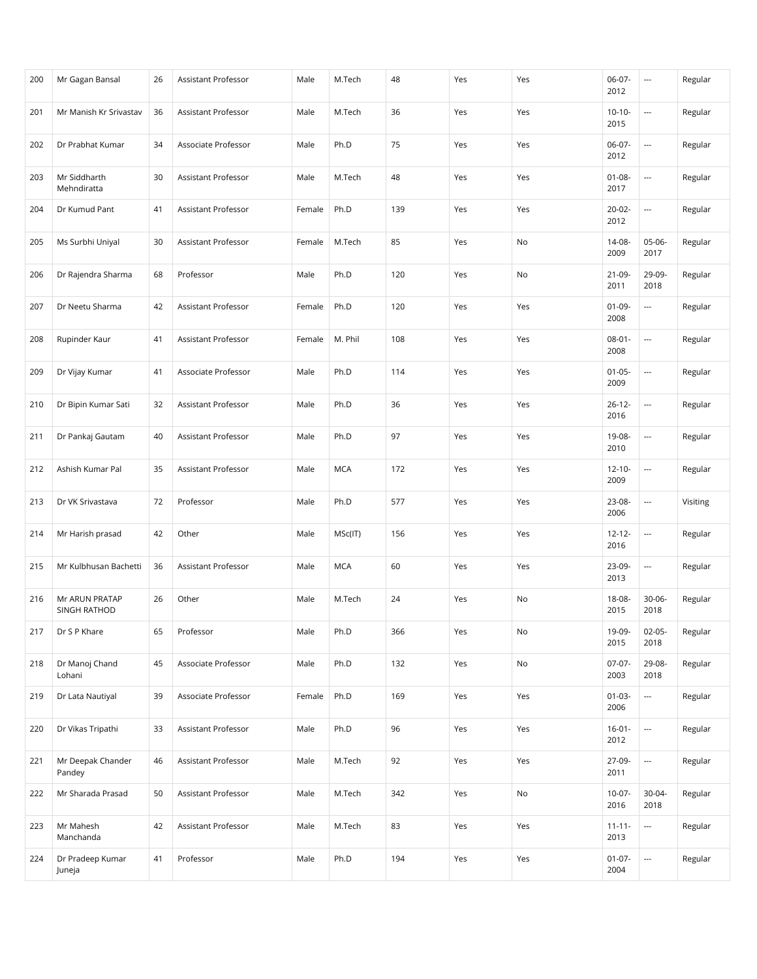| 200 | Mr Gagan Bansal                | 26 | Assistant Professor | Male   | M.Tech     | 48  | Yes | Yes | 06-07-<br>2012      | $\cdots$                 | Regular  |
|-----|--------------------------------|----|---------------------|--------|------------|-----|-----|-----|---------------------|--------------------------|----------|
| 201 | Mr Manish Kr Srivastav         | 36 | Assistant Professor | Male   | M.Tech     | 36  | Yes | Yes | $10-10-$<br>2015    | ---                      | Regular  |
| 202 | Dr Prabhat Kumar               | 34 | Associate Professor | Male   | Ph.D       | 75  | Yes | Yes | 06-07-<br>2012      | $\hspace{0.05cm} \ldots$ | Regular  |
| 203 | Mr Siddharth<br>Mehndiratta    | 30 | Assistant Professor | Male   | M.Tech     | 48  | Yes | Yes | $01 - 08 -$<br>2017 | $\overline{\phantom{a}}$ | Regular  |
| 204 | Dr Kumud Pant                  | 41 | Assistant Professor | Female | Ph.D       | 139 | Yes | Yes | 20-02-<br>2012      | $\overline{\phantom{a}}$ | Regular  |
| 205 | Ms Surbhi Uniyal               | 30 | Assistant Professor | Female | M.Tech     | 85  | Yes | No  | 14-08-<br>2009      | 05-06-<br>2017           | Regular  |
| 206 | Dr Rajendra Sharma             | 68 | Professor           | Male   | Ph.D       | 120 | Yes | No  | 21-09-<br>2011      | 29-09-<br>2018           | Regular  |
| 207 | Dr Neetu Sharma                | 42 | Assistant Professor | Female | Ph.D       | 120 | Yes | Yes | $01 - 09 -$<br>2008 | ---                      | Regular  |
| 208 | Rupinder Kaur                  | 41 | Assistant Professor | Female | M. Phil    | 108 | Yes | Yes | $08 - 01 -$<br>2008 | $\hspace{0.05cm} \ldots$ | Regular  |
| 209 | Dr Vijay Kumar                 | 41 | Associate Professor | Male   | Ph.D       | 114 | Yes | Yes | $01 - 05 -$<br>2009 | $\overline{\phantom{a}}$ | Regular  |
| 210 | Dr Bipin Kumar Sati            | 32 | Assistant Professor | Male   | Ph.D       | 36  | Yes | Yes | $26 - 12 -$<br>2016 | $\hspace{0.05cm} \ldots$ | Regular  |
| 211 | Dr Pankaj Gautam               | 40 | Assistant Professor | Male   | Ph.D       | 97  | Yes | Yes | 19-08-<br>2010      | $\overline{\phantom{a}}$ | Regular  |
| 212 | Ashish Kumar Pal               | 35 | Assistant Professor | Male   | <b>MCA</b> | 172 | Yes | Yes | $12 - 10 -$<br>2009 | $\overline{\phantom{a}}$ | Regular  |
| 213 | Dr VK Srivastava               | 72 | Professor           | Male   | Ph.D       | 577 | Yes | Yes | 23-08-<br>2006      | $\overline{\phantom{a}}$ | Visiting |
| 214 | Mr Harish prasad               | 42 | Other               | Male   | MSc(IT)    | 156 | Yes | Yes | $12 - 12 -$<br>2016 | $\overline{\phantom{a}}$ | Regular  |
| 215 | Mr Kulbhusan Bachetti          | 36 | Assistant Professor | Male   | <b>MCA</b> | 60  | Yes | Yes | 23-09-<br>2013      | $\overline{\phantom{a}}$ | Regular  |
| 216 | Mr ARUN PRATAP<br>SINGH RATHOD | 26 | Other               | Male   | M.Tech     | 24  | Yes | No  | 18-08-<br>2015      | $30 - 06$<br>2018        | Regular  |
| 217 | Dr S P Khare                   | 65 | Professor           | Male   | Ph.D       | 366 | Yes | No  | 19-09-<br>2015      | $02 - 05 -$<br>2018      | Regular  |
| 218 | Dr Manoj Chand<br>Lohani       | 45 | Associate Professor | Male   | Ph.D       | 132 | Yes | No  | $07-07-$<br>2003    | 29-08-<br>2018           | Regular  |
| 219 | Dr Lata Nautiyal               | 39 | Associate Professor | Female | Ph.D       | 169 | Yes | Yes | $01 - 03 -$<br>2006 | $\overline{\phantom{a}}$ | Regular  |
| 220 | Dr Vikas Tripathi              | 33 | Assistant Professor | Male   | Ph.D       | 96  | Yes | Yes | $16-01-$<br>2012    | $\overline{\phantom{a}}$ | Regular  |
| 221 | Mr Deepak Chander<br>Pandey    | 46 | Assistant Professor | Male   | M.Tech     | 92  | Yes | Yes | 27-09-<br>2011      | $\hspace{0.05cm} \ldots$ | Regular  |
| 222 | Mr Sharada Prasad              | 50 | Assistant Professor | Male   | M.Tech     | 342 | Yes | No  | $10-07 -$<br>2016   | 30-04-<br>2018           | Regular  |
| 223 | Mr Mahesh<br>Manchanda         | 42 | Assistant Professor | Male   | M.Tech     | 83  | Yes | Yes | $11 - 11 -$<br>2013 | $\hspace{0.05cm} \ldots$ | Regular  |
| 224 | Dr Pradeep Kumar<br>Juneja     | 41 | Professor           | Male   | Ph.D       | 194 | Yes | Yes | $01 - 07 -$<br>2004 | ---                      | Regular  |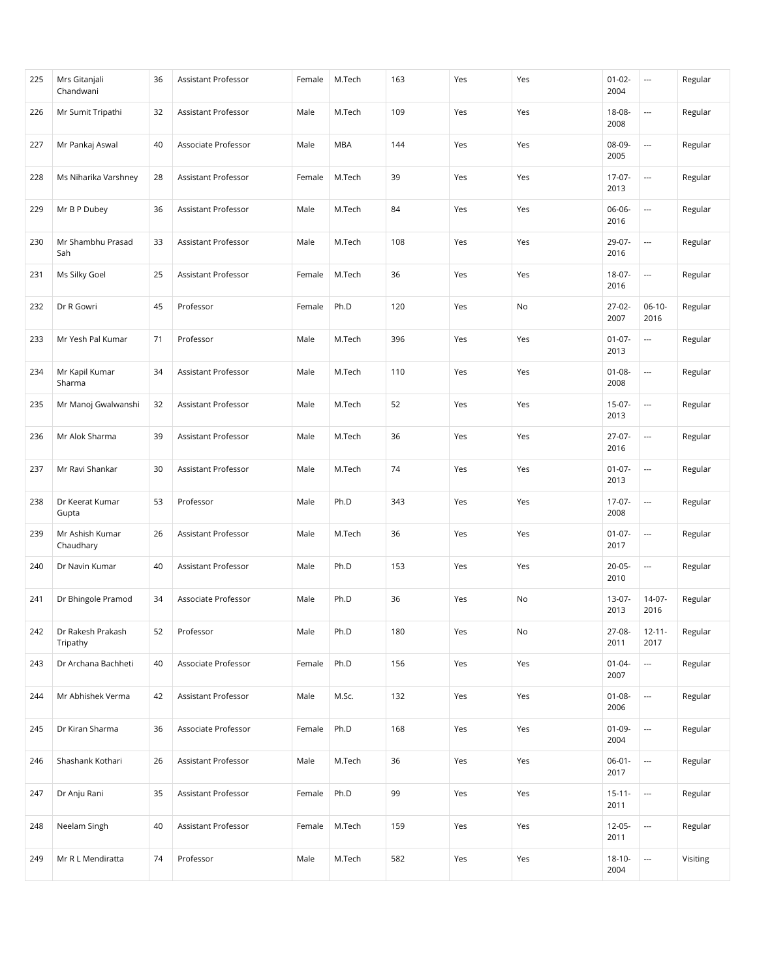| 225 | Mrs Gitanjali<br>Chandwani    | 36 | Assistant Professor        | Female | M.Tech     | 163 | Yes | Yes | $01 - 02 -$<br>2004 | $\cdots$                 | Regular  |
|-----|-------------------------------|----|----------------------------|--------|------------|-----|-----|-----|---------------------|--------------------------|----------|
| 226 | Mr Sumit Tripathi             | 32 | Assistant Professor        | Male   | M.Tech     | 109 | Yes | Yes | 18-08-<br>2008      | $\overline{\phantom{a}}$ | Regular  |
| 227 | Mr Pankaj Aswal               | 40 | Associate Professor        | Male   | <b>MBA</b> | 144 | Yes | Yes | 08-09-<br>2005      | $\hspace{0.05cm} \ldots$ | Regular  |
| 228 | Ms Niharika Varshney          | 28 | Assistant Professor        | Female | M.Tech     | 39  | Yes | Yes | $17-07-$<br>2013    | $\overline{\phantom{a}}$ | Regular  |
| 229 | Mr B P Dubey                  | 36 | Assistant Professor        | Male   | M.Tech     | 84  | Yes | Yes | 06-06-<br>2016      | $\overline{\phantom{a}}$ | Regular  |
| 230 | Mr Shambhu Prasad<br>Sah      | 33 | Assistant Professor        | Male   | M.Tech     | 108 | Yes | Yes | 29-07-<br>2016      | $\hspace{0.05cm} \ldots$ | Regular  |
| 231 | Ms Silky Goel                 | 25 | Assistant Professor        | Female | M.Tech     | 36  | Yes | Yes | 18-07-<br>2016      | $\overline{\phantom{a}}$ | Regular  |
| 232 | Dr R Gowri                    | 45 | Professor                  | Female | Ph.D       | 120 | Yes | No  | 27-02-<br>2007      | $06-10-$<br>2016         | Regular  |
| 233 | Mr Yesh Pal Kumar             | 71 | Professor                  | Male   | M.Tech     | 396 | Yes | Yes | $01 - 07 -$<br>2013 | $\overline{\phantom{a}}$ | Regular  |
| 234 | Mr Kapil Kumar<br>Sharma      | 34 | <b>Assistant Professor</b> | Male   | M.Tech     | 110 | Yes | Yes | $01 - 08 -$<br>2008 | $\overline{\phantom{a}}$ | Regular  |
| 235 | Mr Manoj Gwalwanshi           | 32 | Assistant Professor        | Male   | M.Tech     | 52  | Yes | Yes | $15-07-$<br>2013    | $\hspace{0.05cm} \ldots$ | Regular  |
| 236 | Mr Alok Sharma                | 39 | Assistant Professor        | Male   | M.Tech     | 36  | Yes | Yes | $27-07-$<br>2016    | $\overline{\phantom{a}}$ | Regular  |
| 237 | Mr Ravi Shankar               | 30 | Assistant Professor        | Male   | M.Tech     | 74  | Yes | Yes | $01 - 07 -$<br>2013 | $\hspace{0.05cm} \ldots$ | Regular  |
| 238 | Dr Keerat Kumar<br>Gupta      | 53 | Professor                  | Male   | Ph.D       | 343 | Yes | Yes | $17-07-$<br>2008    | $\cdots$                 | Regular  |
| 239 | Mr Ashish Kumar<br>Chaudhary  | 26 | Assistant Professor        | Male   | M.Tech     | 36  | Yes | Yes | $01 - 07 -$<br>2017 | $\overline{\phantom{a}}$ | Regular  |
| 240 | Dr Navin Kumar                | 40 | Assistant Professor        | Male   | Ph.D       | 153 | Yes | Yes | $20 - 05 -$<br>2010 | $\cdots$                 | Regular  |
| 241 | Dr Bhingole Pramod            | 34 | Associate Professor        | Male   | Ph.D       | 36  | Yes | No  | 13-07-<br>2013      | 14-07-<br>2016           | Regular  |
| 242 | Dr Rakesh Prakash<br>Tripathy | 52 | Professor                  | Male   | Ph.D       | 180 | Yes | No  | 27-08-<br>2011      | $12 - 11 -$<br>2017      | Regular  |
| 243 | Dr Archana Bachheti           | 40 | Associate Professor        | Female | Ph.D       | 156 | Yes | Yes | $01 - 04 -$<br>2007 | ---                      | Regular  |
| 244 | Mr Abhishek Verma             | 42 | Assistant Professor        | Male   | M.Sc.      | 132 | Yes | Yes | $01 - 08 -$<br>2006 | $\hspace{0.05cm} \ldots$ | Regular  |
| 245 | Dr Kiran Sharma               | 36 | Associate Professor        | Female | Ph.D       | 168 | Yes | Yes | $01 - 09 -$<br>2004 | $\hspace{0.05cm} \ldots$ | Regular  |
| 246 | Shashank Kothari              | 26 | Assistant Professor        | Male   | M.Tech     | 36  | Yes | Yes | $06 - 01 -$<br>2017 | $\hspace{0.05cm} \ldots$ | Regular  |
| 247 | Dr Anju Rani                  | 35 | Assistant Professor        | Female | Ph.D       | 99  | Yes | Yes | $15 - 11 -$<br>2011 | $\overline{\phantom{a}}$ | Regular  |
| 248 | Neelam Singh                  | 40 | Assistant Professor        | Female | M.Tech     | 159 | Yes | Yes | $12 - 05 -$<br>2011 | $\hspace{0.05cm} \ldots$ | Regular  |
| 249 | Mr R L Mendiratta             | 74 | Professor                  | Male   | M.Tech     | 582 | Yes | Yes | $18 - 10 -$<br>2004 | $\hspace{0.05cm} \ldots$ | Visiting |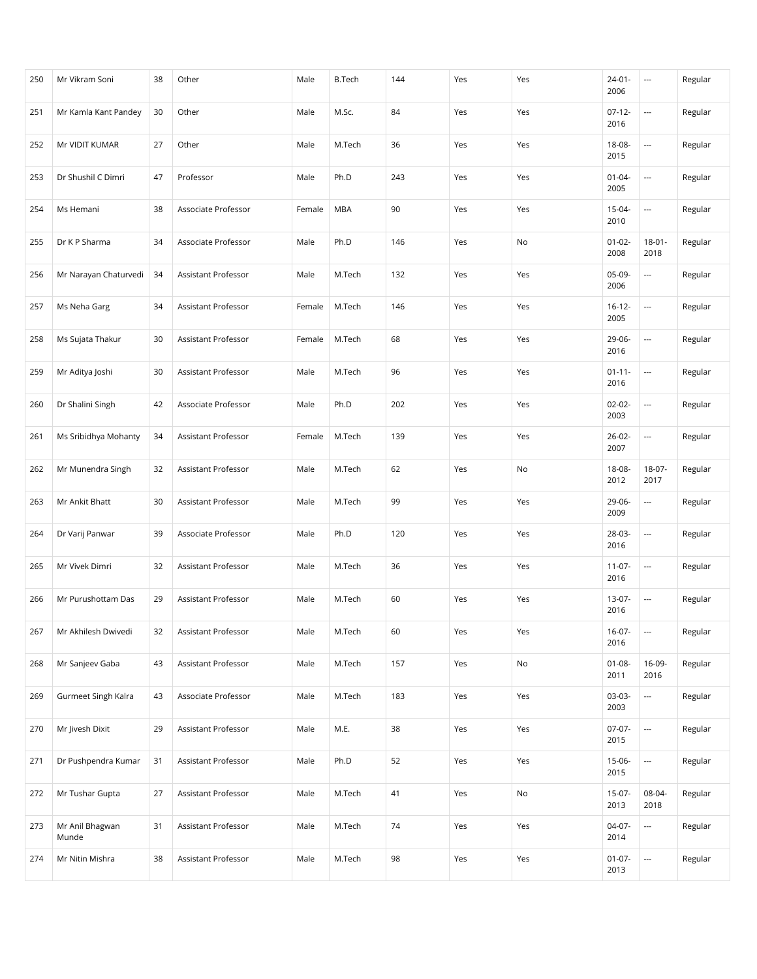| 250 | Mr Vikram Soni           | 38 | Other               | Male   | <b>B.Tech</b> | 144 | Yes | Yes | $24 - 01 -$<br>2006 | $\cdots$                 | Regular |
|-----|--------------------------|----|---------------------|--------|---------------|-----|-----|-----|---------------------|--------------------------|---------|
| 251 | Mr Kamla Kant Pandey     | 30 | Other               | Male   | M.Sc.         | 84  | Yes | Yes | $07-12-$<br>2016    | $\hspace{0.05cm} \ldots$ | Regular |
| 252 | Mr VIDIT KUMAR           | 27 | Other               | Male   | M.Tech        | 36  | Yes | Yes | 18-08-<br>2015      | ---                      | Regular |
| 253 | Dr Shushil C Dimri       | 47 | Professor           | Male   | Ph.D          | 243 | Yes | Yes | $01 - 04 -$<br>2005 | $\hspace{0.05cm} \ldots$ | Regular |
| 254 | Ms Hemani                | 38 | Associate Professor | Female | <b>MBA</b>    | 90  | Yes | Yes | 15-04-<br>2010      | $\cdots$                 | Regular |
| 255 | Dr K P Sharma            | 34 | Associate Professor | Male   | Ph.D          | 146 | Yes | No  | $01 - 02 -$<br>2008 | $18 - 01 -$<br>2018      | Regular |
| 256 | Mr Narayan Chaturvedi    | 34 | Assistant Professor | Male   | M.Tech        | 132 | Yes | Yes | 05-09-<br>2006      | $\overline{\phantom{a}}$ | Regular |
| 257 | Ms Neha Garg             | 34 | Assistant Professor | Female | M.Tech        | 146 | Yes | Yes | $16-12-$<br>2005    | $\cdots$                 | Regular |
| 258 | Ms Sujata Thakur         | 30 | Assistant Professor | Female | M.Tech        | 68  | Yes | Yes | 29-06-<br>2016      | $\overline{\phantom{a}}$ | Regular |
| 259 | Mr Aditya Joshi          | 30 | Assistant Professor | Male   | M.Tech        | 96  | Yes | Yes | $01 - 11 -$<br>2016 | $\hspace{0.05cm} \ldots$ | Regular |
| 260 | Dr Shalini Singh         | 42 | Associate Professor | Male   | Ph.D          | 202 | Yes | Yes | $02 - 02 -$<br>2003 | $\cdots$                 | Regular |
| 261 | Ms Sribidhya Mohanty     | 34 | Assistant Professor | Female | M.Tech        | 139 | Yes | Yes | 26-02-<br>2007      | $\overline{\phantom{a}}$ | Regular |
| 262 | Mr Munendra Singh        | 32 | Assistant Professor | Male   | M.Tech        | 62  | Yes | No  | 18-08-<br>2012      | 18-07-<br>2017           | Regular |
| 263 | Mr Ankit Bhatt           | 30 | Assistant Professor | Male   | M.Tech        | 99  | Yes | Yes | 29-06-<br>2009      | ---                      | Regular |
| 264 | Dr Varij Panwar          | 39 | Associate Professor | Male   | Ph.D          | 120 | Yes | Yes | 28-03-<br>2016      | $\overline{\phantom{a}}$ | Regular |
| 265 | Mr Vivek Dimri           | 32 | Assistant Professor | Male   | M.Tech        | 36  | Yes | Yes | $11-07-$<br>2016    | $\overline{\phantom{a}}$ | Regular |
| 266 | Mr Purushottam Das       | 29 | Assistant Professor | Male   | M.Tech        | 60  | Yes | Yes | 13-07-<br>2016      | ---                      | Regular |
| 267 | Mr Akhilesh Dwivedi      | 32 | Assistant Professor | Male   | M.Tech        | 60  | Yes | Yes | $16-07-$<br>2016    | $\overline{\phantom{a}}$ | Regular |
| 268 | Mr Sanjeev Gaba          | 43 | Assistant Professor | Male   | M.Tech        | 157 | Yes | No  | $01 - 08 -$<br>2011 | 16-09-<br>2016           | Regular |
| 269 | Gurmeet Singh Kalra      | 43 | Associate Professor | Male   | M.Tech        | 183 | Yes | Yes | 03-03-<br>2003      | $\overline{\phantom{a}}$ | Regular |
| 270 | Mr Jivesh Dixit          | 29 | Assistant Professor | Male   | M.E.          | 38  | Yes | Yes | $07-07-$<br>2015    | $\overline{\phantom{a}}$ | Regular |
| 271 | Dr Pushpendra Kumar      | 31 | Assistant Professor | Male   | Ph.D          | 52  | Yes | Yes | 15-06-<br>2015      | $\hspace{0.05cm} \ldots$ | Regular |
| 272 | Mr Tushar Gupta          | 27 | Assistant Professor | Male   | M.Tech        | 41  | Yes | No  | $15-07-$<br>2013    | 08-04-<br>2018           | Regular |
| 273 | Mr Anil Bhagwan<br>Munde | 31 | Assistant Professor | Male   | M.Tech        | 74  | Yes | Yes | 04-07-<br>2014      | $\hspace{0.05cm} \ldots$ | Regular |
| 274 | Mr Nitin Mishra          | 38 | Assistant Professor | Male   | M.Tech        | 98  | Yes | Yes | $01 - 07 -$<br>2013 | ---                      | Regular |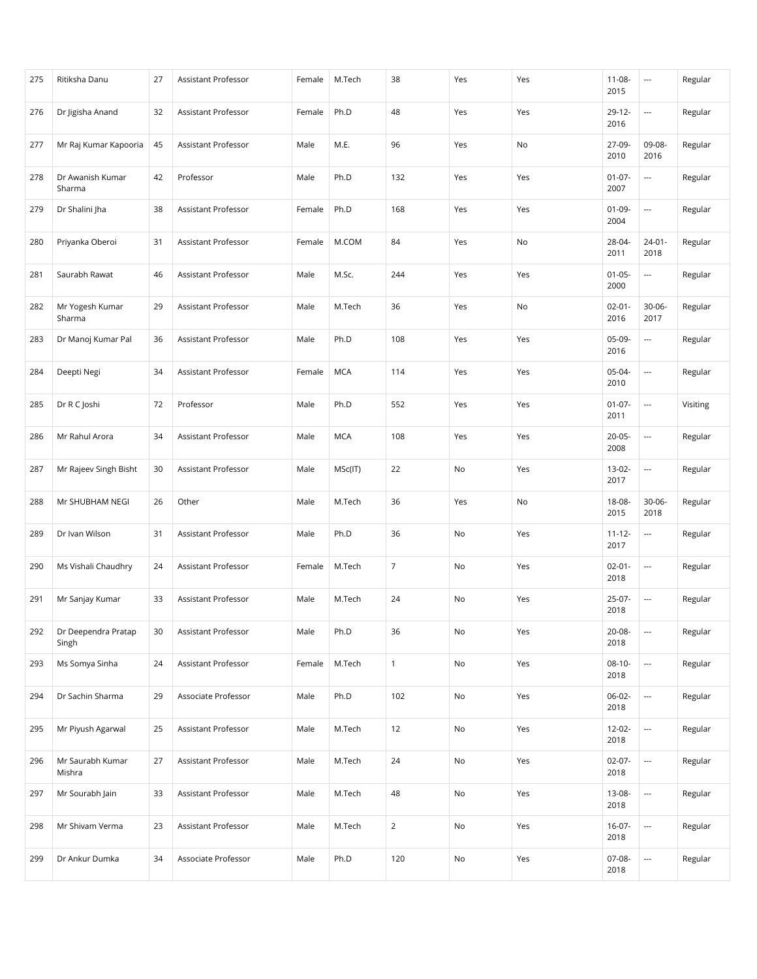| 275 | Ritiksha Danu                | 27 | Assistant Professor | Female | M.Tech     | 38             | Yes           | Yes | $11 - 08 -$<br>2015 | $\cdots$                 | Regular  |
|-----|------------------------------|----|---------------------|--------|------------|----------------|---------------|-----|---------------------|--------------------------|----------|
| 276 | Dr Jigisha Anand             | 32 | Assistant Professor | Female | Ph.D       | 48             | Yes           | Yes | 29-12-<br>2016      | $\overline{\phantom{a}}$ | Regular  |
| 277 | Mr Raj Kumar Kapooria        | 45 | Assistant Professor | Male   | M.E.       | 96             | Yes           | No  | 27-09-<br>2010      | 09-08-<br>2016           | Regular  |
| 278 | Dr Awanish Kumar<br>Sharma   | 42 | Professor           | Male   | Ph.D       | 132            | Yes           | Yes | $01 - 07 -$<br>2007 | $\hspace{0.05cm} \ldots$ | Regular  |
| 279 | Dr Shalini Jha               | 38 | Assistant Professor | Female | Ph.D       | 168            | Yes           | Yes | $01-09-$<br>2004    | $\overline{\phantom{a}}$ | Regular  |
| 280 | Priyanka Oberoi              | 31 | Assistant Professor | Female | M.COM      | 84             | Yes           | No  | 28-04-<br>2011      | $24 - 01 -$<br>2018      | Regular  |
| 281 | Saurabh Rawat                | 46 | Assistant Professor | Male   | M.Sc.      | 244            | Yes           | Yes | $01 - 05 -$<br>2000 | $\overline{\phantom{a}}$ | Regular  |
| 282 | Mr Yogesh Kumar<br>Sharma    | 29 | Assistant Professor | Male   | M.Tech     | 36             | Yes           | No  | $02 - 01 -$<br>2016 | $30 - 06$<br>2017        | Regular  |
| 283 | Dr Manoj Kumar Pal           | 36 | Assistant Professor | Male   | Ph.D       | 108            | Yes           | Yes | 05-09-<br>2016      | $\overline{\phantom{a}}$ | Regular  |
| 284 | Deepti Negi                  | 34 | Assistant Professor | Female | <b>MCA</b> | 114            | Yes           | Yes | 05-04-<br>2010      | $\overline{\phantom{a}}$ | Regular  |
| 285 | Dr R C Joshi                 | 72 | Professor           | Male   | Ph.D       | 552            | Yes           | Yes | $01-07-$<br>2011    | $\overline{\phantom{a}}$ | Visiting |
| 286 | Mr Rahul Arora               | 34 | Assistant Professor | Male   | <b>MCA</b> | 108            | Yes           | Yes | $20 - 05 -$<br>2008 | $\overline{\phantom{a}}$ | Regular  |
| 287 | Mr Rajeev Singh Bisht        | 30 | Assistant Professor | Male   | MSc(IT)    | 22             | No            | Yes | 13-02-<br>2017      | $\overline{\phantom{a}}$ | Regular  |
| 288 | Mr SHUBHAM NEGI              | 26 | Other               | Male   | M.Tech     | 36             | Yes           | No  | 18-08-<br>2015      | $30 - 06$<br>2018        | Regular  |
| 289 | Dr Ivan Wilson               | 31 | Assistant Professor | Male   | Ph.D       | 36             | No            | Yes | $11 - 12 -$<br>2017 | $\overline{\phantom{a}}$ | Regular  |
| 290 | Ms Vishali Chaudhry          | 24 | Assistant Professor | Female | M.Tech     | 7              | No            | Yes | $02 - 01 -$<br>2018 | $\cdots$                 | Regular  |
| 291 | Mr Sanjay Kumar              | 33 | Assistant Professor | Male   | M.Tech     | 24             | No            | Yes | 25-07-<br>2018      | $\overline{\phantom{a}}$ | Regular  |
| 292 | Dr Deependra Pratap<br>Singh | 30 | Assistant Professor | Male   | Ph.D       | 36             | No            | Yes | 20-08-<br>2018      | $\overline{\phantom{a}}$ | Regular  |
| 293 | Ms Somya Sinha               | 24 | Assistant Professor | Female | M.Tech     | $\mathbf{1}$   | No            | Yes | $08-10-$<br>2018    | $\overline{\phantom{a}}$ | Regular  |
| 294 | Dr Sachin Sharma             | 29 | Associate Professor | Male   | Ph.D       | 102            | No            | Yes | 06-02-<br>2018      | $\overline{\phantom{a}}$ | Regular  |
| 295 | Mr Piyush Agarwal            | 25 | Assistant Professor | Male   | M.Tech     | 12             | No            | Yes | 12-02-<br>2018      | $\hspace{0.05cm} \ldots$ | Regular  |
| 296 | Mr Saurabh Kumar<br>Mishra   | 27 | Assistant Professor | Male   | M.Tech     | 24             | No            | Yes | $02-07-$<br>2018    | $\hspace{0.05cm} \ldots$ | Regular  |
| 297 | Mr Sourabh Jain              | 33 | Assistant Professor | Male   | M.Tech     | 48             | $\mathsf{No}$ | Yes | 13-08-<br>2018      | $\overline{\phantom{a}}$ | Regular  |
| 298 | Mr Shivam Verma              | 23 | Assistant Professor | Male   | M.Tech     | $\overline{2}$ | No            | Yes | $16-07-$<br>2018    | $\hspace{0.05cm} \ldots$ | Regular  |
| 299 | Dr Ankur Dumka               | 34 | Associate Professor | Male   | Ph.D       | 120            | No            | Yes | 07-08-<br>2018      | $\hspace{0.05cm} \ldots$ | Regular  |